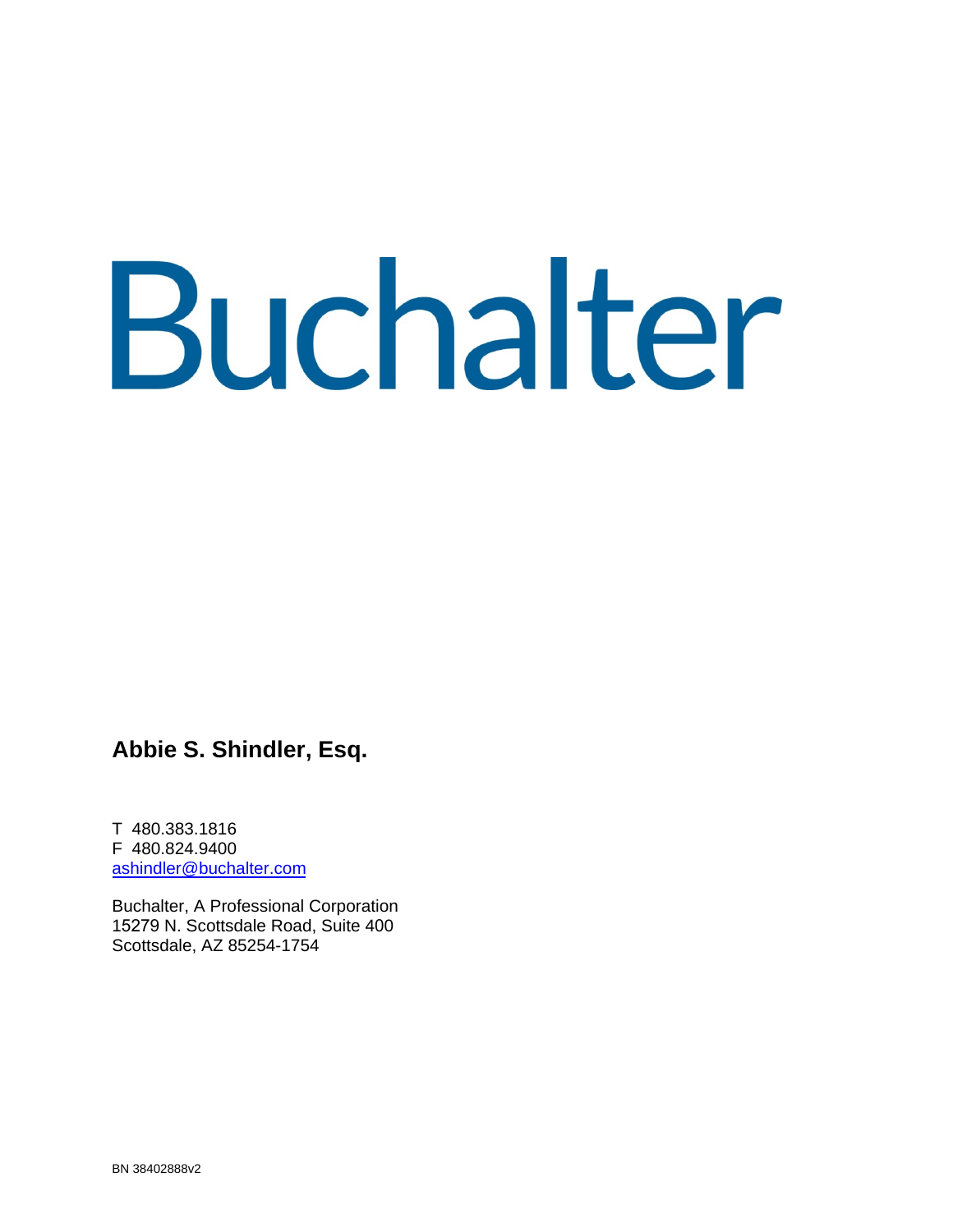# Buchalter

**Abbie S. Shindler, Esq.** 

T 480.383.1816 F 480.824.9400 ashindler@buchalter.com

Buchalter, A Professional Corporation 15279 N. Scottsdale Road, Suite 400 Scottsdale, AZ 85254-1754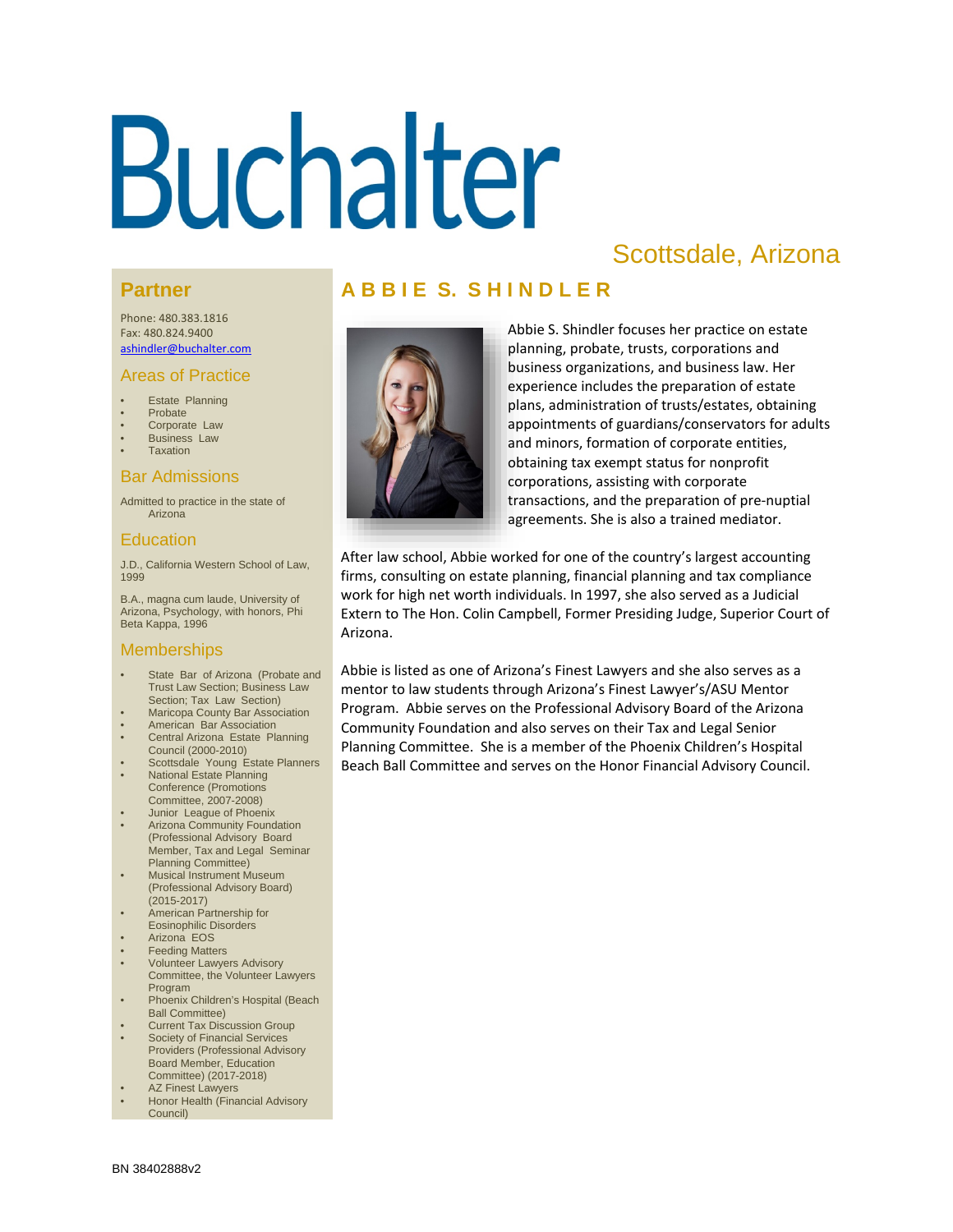# Buchalter

# Scottsdale, Arizona

#### **Partner**

Phone: 480.383.1816 Fax: 480.824.9400 ashindler@buchalter.com

#### Areas of Practice

- **Estate Planning**
- Probate
- Corporate Law
- Business Law
- **Taxation**

#### Bar Admissions

Admitted to practice in the state of Arizona

#### Education

J.D., California Western School of Law, 1999

B.A., magna cum laude, University of Arizona, Psychology, with honors, Phi Beta Kappa, 1996

#### **Memberships**

- State Bar of Arizona (Probate and Trust Law Section; Business Law Section; Tax Law Section)
- **Maricopa County Bar Association**
- American Bar Association
- Central Arizona Estate Planning Council (2000-2010) Scottsdale Young Estate Planners
- **National Estate Planning** Conference (Promotions Committee, 2007-2008)
- Junior League of Phoenix
- Arizona Community Foundation (Professional Advisory Board Member, Tax and Legal Seminar Planning Committee)
- Musical Instrument Museum (Professional Advisory Board) (2015-2017)
- American Partnership for Eosinophilic Disorders
- Arizona EOS
- **Feeding Matters**
- Volunteer Lawyers Advisory Committee, the Volunteer Lawyers Program
- Phoenix Children's Hospital (Beach Ball Committee)
- Current Tax Discussion Group Society of Financial Services
- Providers (Professional Advisory Board Member, Education Committee) (2017-2018) AZ Finest Lawyers
- 
- Honor Health (Financial Advisory Council)

# **A B B I E S. S H I N D L E R**



Abbie S. Shindler focuses her practice on estate planning, probate, trusts, corporations and business organizations, and business law. Her experience includes the preparation of estate plans, administration of trusts/estates, obtaining appointments of guardians/conservators for adults and minors, formation of corporate entities, obtaining tax exempt status for nonprofit corporations, assisting with corporate transactions, and the preparation of pre-nuptial agreements. She is also a trained mediator.

After law school, Abbie worked for one of the country's largest accounting firms, consulting on estate planning, financial planning and tax compliance work for high net worth individuals. In 1997, she also served as a Judicial Extern to The Hon. Colin Campbell, Former Presiding Judge, Superior Court of Arizona.

Abbie is listed as one of Arizona's Finest Lawyers and she also serves as a mentor to law students through Arizona's Finest Lawyer's/ASU Mentor Program. Abbie serves on the Professional Advisory Board of the Arizona Community Foundation and also serves on their Tax and Legal Senior Planning Committee. She is a member of the Phoenix Children's Hospital Beach Ball Committee and serves on the Honor Financial Advisory Council.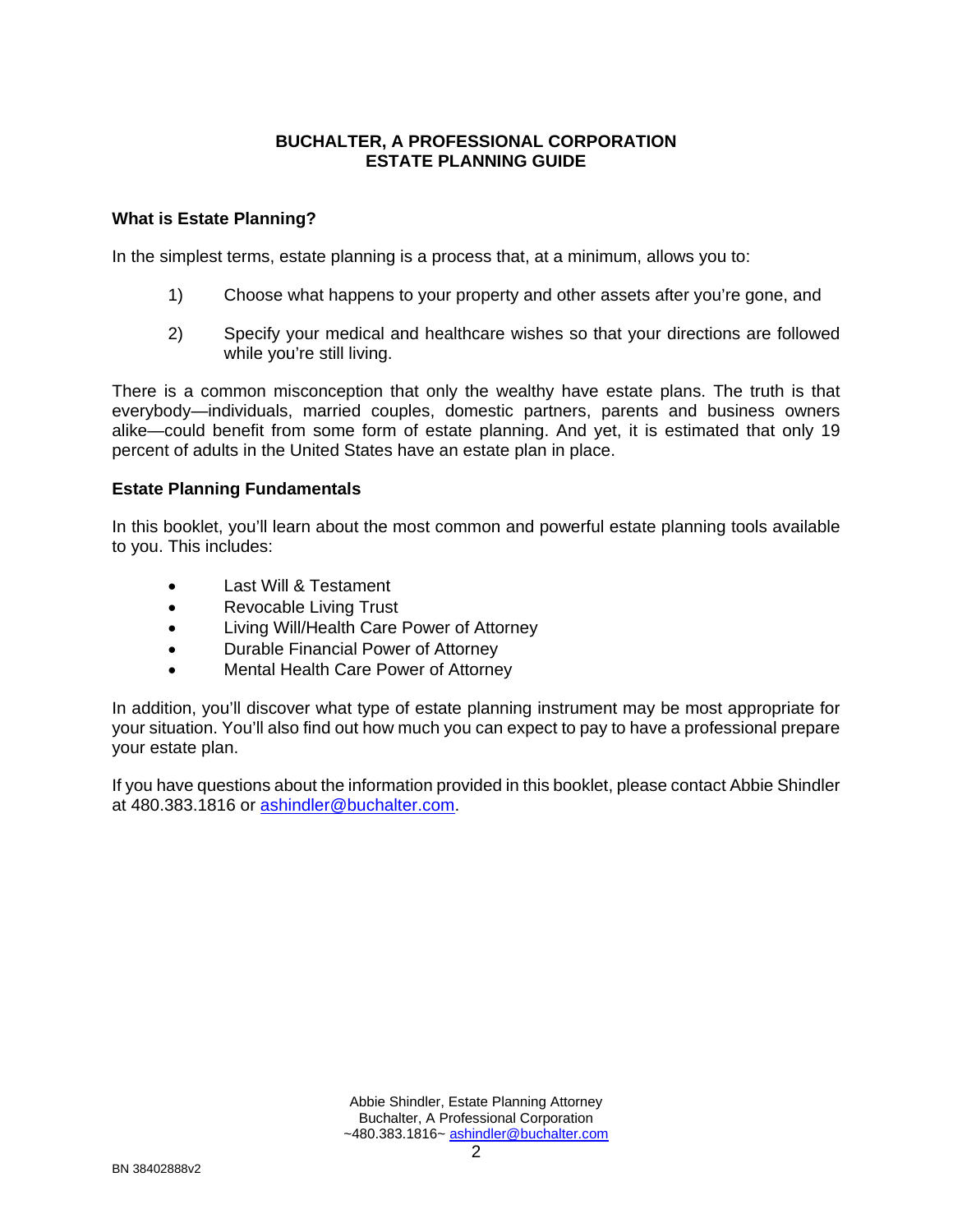#### **BUCHALTER, A PROFESSIONAL CORPORATION ESTATE PLANNING GUIDE**

#### **What is Estate Planning?**

In the simplest terms, estate planning is a process that, at a minimum, allows you to:

- 1) Choose what happens to your property and other assets after you're gone, and
- 2) Specify your medical and healthcare wishes so that your directions are followed while you're still living.

There is a common misconception that only the wealthy have estate plans. The truth is that everybody—individuals, married couples, domestic partners, parents and business owners alike—could benefit from some form of estate planning. And yet, it is estimated that only 19 percent of adults in the United States have an estate plan in place.

#### **Estate Planning Fundamentals**

In this booklet, you'll learn about the most common and powerful estate planning tools available to you. This includes:

- Last Will & Testament
- Revocable Living Trust
- Living Will/Health Care Power of Attorney
- Durable Financial Power of Attorney
- Mental Health Care Power of Attorney

In addition, you'll discover what type of estate planning instrument may be most appropriate for your situation. You'll also find out how much you can expect to pay to have a professional prepare your estate plan.

If you have questions about the information provided in this booklet, please contact Abbie Shindler at 480.383.1816 or ashindler@buchalter.com.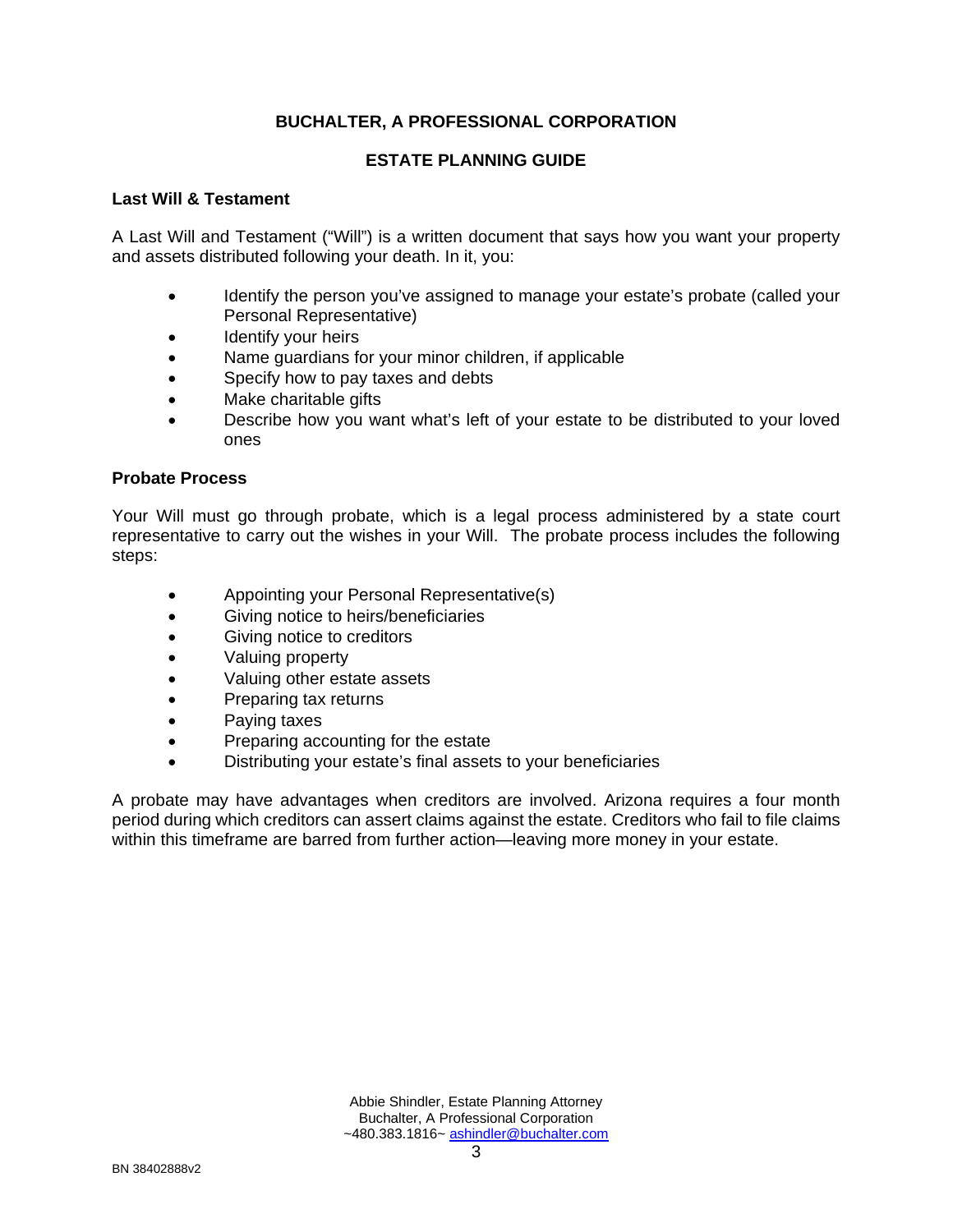#### **ESTATE PLANNING GUIDE**

#### **Last Will & Testament**

A Last Will and Testament ("Will") is a written document that says how you want your property and assets distributed following your death. In it, you:

- Identify the person you've assigned to manage your estate's probate (called your Personal Representative)
- Identify your heirs
- Name guardians for your minor children, if applicable
- Specify how to pay taxes and debts
- Make charitable gifts
- Describe how you want what's left of your estate to be distributed to your loved ones

#### **Probate Process**

Your Will must go through probate, which is a legal process administered by a state court representative to carry out the wishes in your Will. The probate process includes the following steps:

- Appointing your Personal Representative(s)
- Giving notice to heirs/beneficiaries
- Giving notice to creditors
- Valuing property
- Valuing other estate assets
- Preparing tax returns
- Paying taxes
- Preparing accounting for the estate
- Distributing your estate's final assets to your beneficiaries

A probate may have advantages when creditors are involved. Arizona requires a four month period during which creditors can assert claims against the estate. Creditors who fail to file claims within this timeframe are barred from further action—leaving more money in your estate.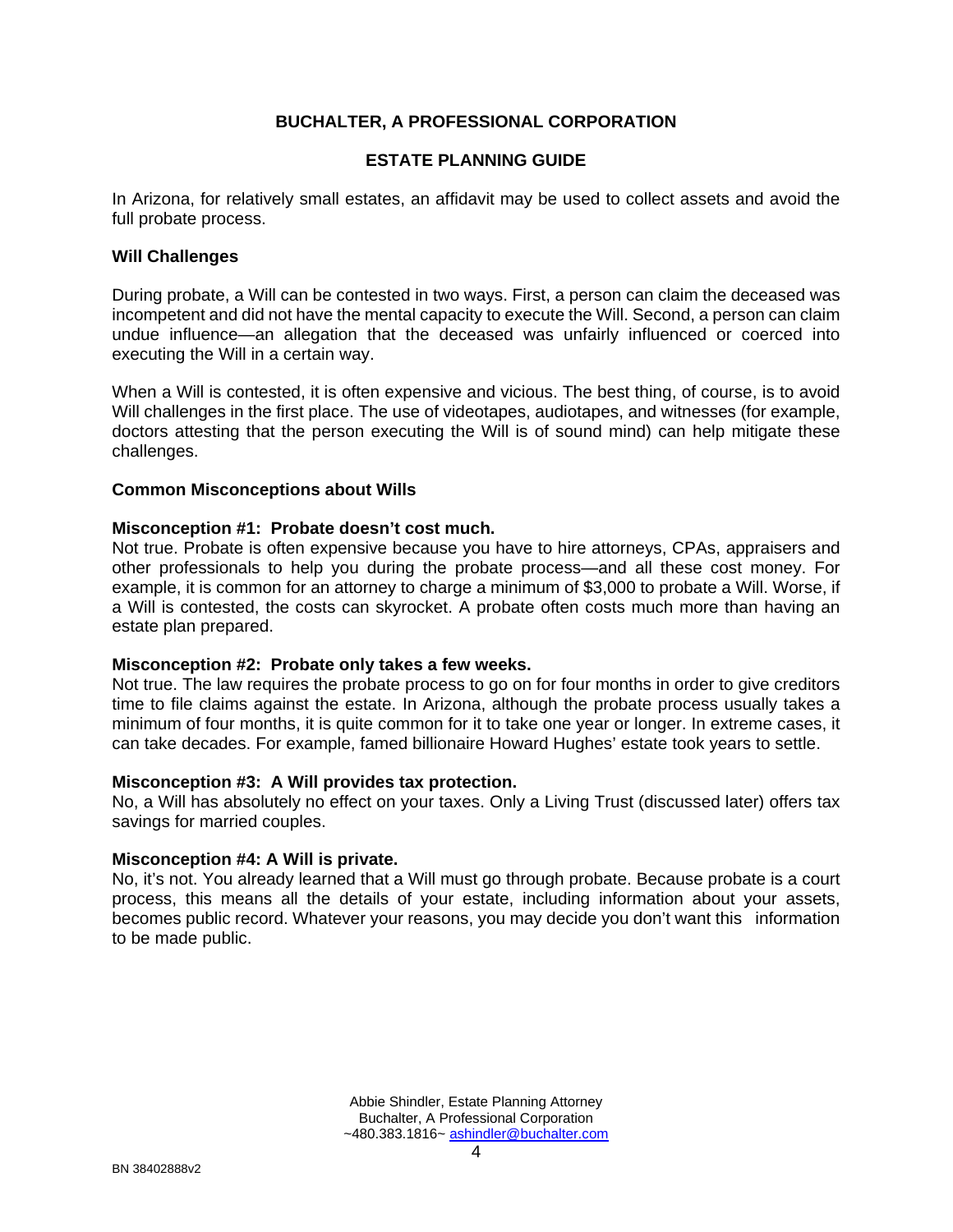#### **ESTATE PLANNING GUIDE**

In Arizona, for relatively small estates, an affidavit may be used to collect assets and avoid the full probate process.

#### **Will Challenges**

During probate, a Will can be contested in two ways. First, a person can claim the deceased was incompetent and did not have the mental capacity to execute the Will. Second, a person can claim undue influence—an allegation that the deceased was unfairly influenced or coerced into executing the Will in a certain way.

When a Will is contested, it is often expensive and vicious. The best thing, of course, is to avoid Will challenges in the first place. The use of videotapes, audiotapes, and witnesses (for example, doctors attesting that the person executing the Will is of sound mind) can help mitigate these challenges.

#### **Common Misconceptions about Wills**

#### **Misconception #1: Probate doesn't cost much.**

Not true. Probate is often expensive because you have to hire attorneys, CPAs, appraisers and other professionals to help you during the probate process—and all these cost money. For example, it is common for an attorney to charge a minimum of \$3,000 to probate a Will. Worse, if a Will is contested, the costs can skyrocket. A probate often costs much more than having an estate plan prepared.

#### **Misconception #2: Probate only takes a few weeks.**

Not true. The law requires the probate process to go on for four months in order to give creditors time to file claims against the estate. In Arizona, although the probate process usually takes a minimum of four months, it is quite common for it to take one year or longer. In extreme cases, it can take decades. For example, famed billionaire Howard Hughes' estate took years to settle.

#### **Misconception #3: A Will provides tax protection.**

No, a Will has absolutely no effect on your taxes. Only a Living Trust (discussed later) offers tax savings for married couples.

#### **Misconception #4: A Will is private.**

No, it's not. You already learned that a Will must go through probate. Because probate is a court process, this means all the details of your estate, including information about your assets, becomes public record. Whatever your reasons, you may decide you don't want this information to be made public.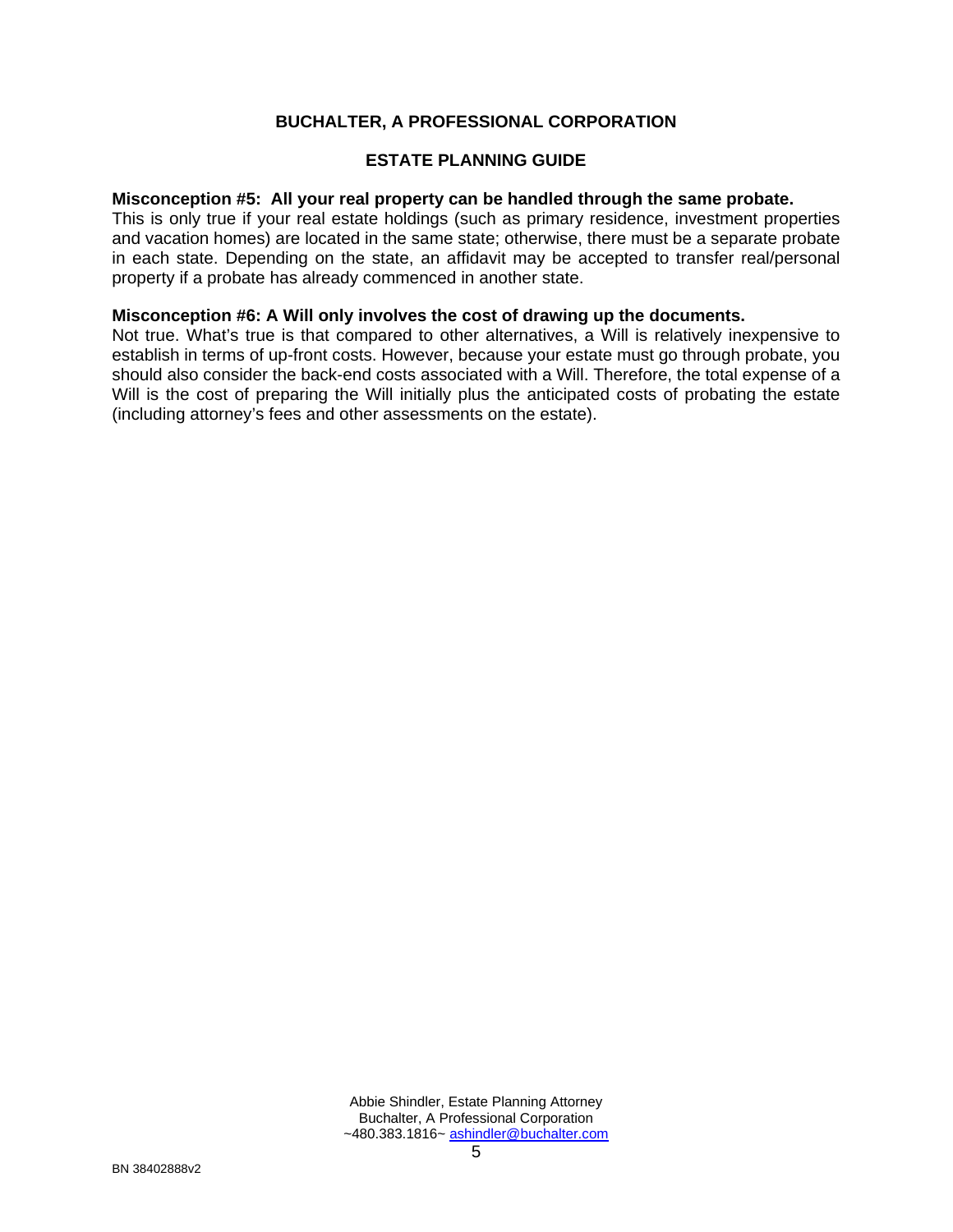#### **ESTATE PLANNING GUIDE**

#### **Misconception #5: All your real property can be handled through the same probate.**

This is only true if your real estate holdings (such as primary residence, investment properties and vacation homes) are located in the same state; otherwise, there must be a separate probate in each state. Depending on the state, an affidavit may be accepted to transfer real/personal property if a probate has already commenced in another state.

#### **Misconception #6: A Will only involves the cost of drawing up the documents.**

Not true. What's true is that compared to other alternatives, a Will is relatively inexpensive to establish in terms of up-front costs. However, because your estate must go through probate, you should also consider the back-end costs associated with a Will. Therefore, the total expense of a Will is the cost of preparing the Will initially plus the anticipated costs of probating the estate (including attorney's fees and other assessments on the estate).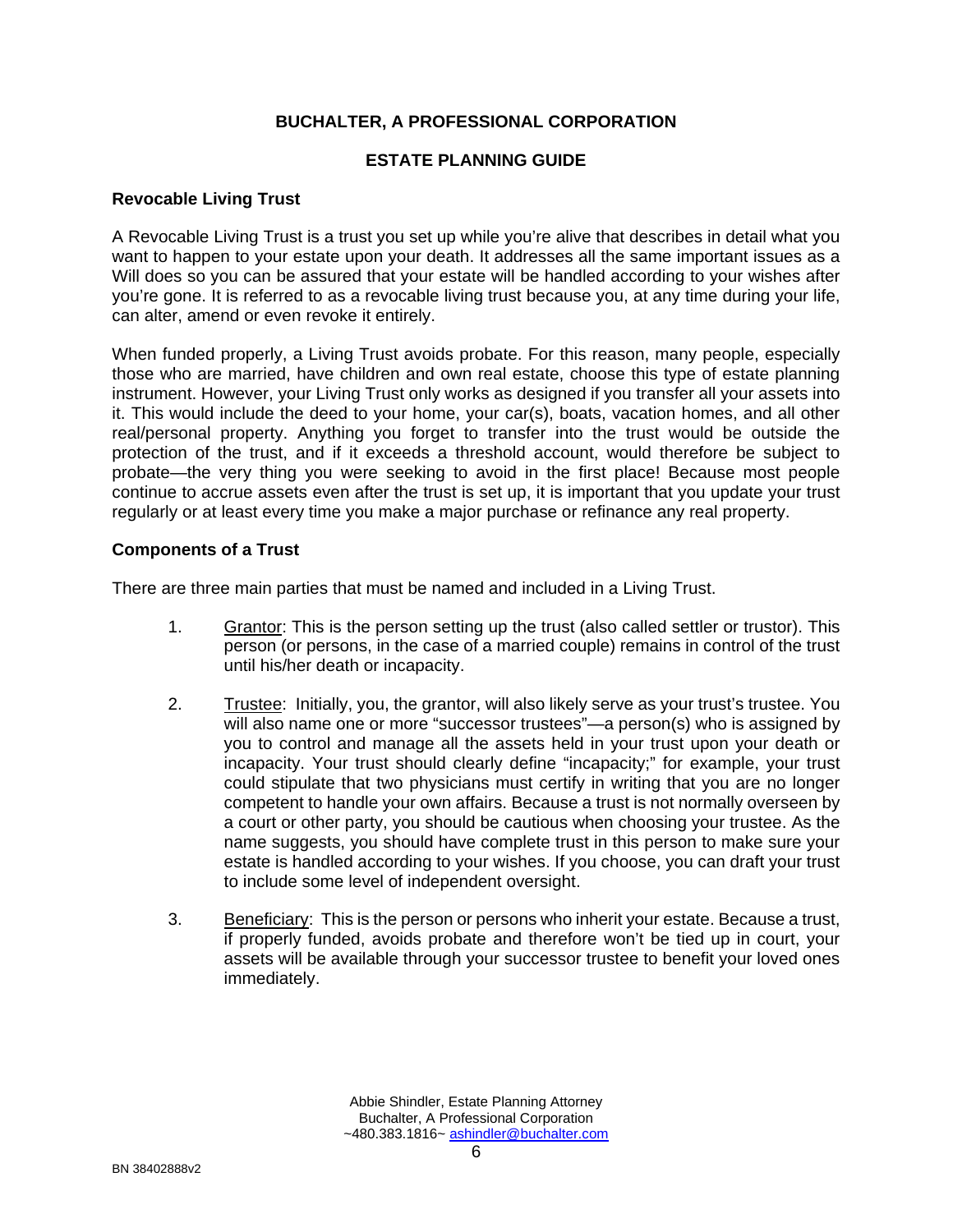#### **ESTATE PLANNING GUIDE**

#### **Revocable Living Trust**

A Revocable Living Trust is a trust you set up while you're alive that describes in detail what you want to happen to your estate upon your death. It addresses all the same important issues as a Will does so you can be assured that your estate will be handled according to your wishes after you're gone. It is referred to as a revocable living trust because you, at any time during your life, can alter, amend or even revoke it entirely.

When funded properly, a Living Trust avoids probate. For this reason, many people, especially those who are married, have children and own real estate, choose this type of estate planning instrument. However, your Living Trust only works as designed if you transfer all your assets into it. This would include the deed to your home, your car(s), boats, vacation homes, and all other real/personal property. Anything you forget to transfer into the trust would be outside the protection of the trust, and if it exceeds a threshold account, would therefore be subject to probate—the very thing you were seeking to avoid in the first place! Because most people continue to accrue assets even after the trust is set up, it is important that you update your trust regularly or at least every time you make a major purchase or refinance any real property.

#### **Components of a Trust**

There are three main parties that must be named and included in a Living Trust.

- 1. Grantor: This is the person setting up the trust (also called settler or trustor). This person (or persons, in the case of a married couple) remains in control of the trust until his/her death or incapacity.
- 2. Trustee: Initially, you, the grantor, will also likely serve as your trust's trustee. You will also name one or more "successor trustees"—a person(s) who is assigned by you to control and manage all the assets held in your trust upon your death or incapacity. Your trust should clearly define "incapacity;" for example, your trust could stipulate that two physicians must certify in writing that you are no longer competent to handle your own affairs. Because a trust is not normally overseen by a court or other party, you should be cautious when choosing your trustee. As the name suggests, you should have complete trust in this person to make sure your estate is handled according to your wishes. If you choose, you can draft your trust to include some level of independent oversight.
- 3. Beneficiary: This is the person or persons who inherit your estate. Because a trust, if properly funded, avoids probate and therefore won't be tied up in court, your assets will be available through your successor trustee to benefit your loved ones immediately.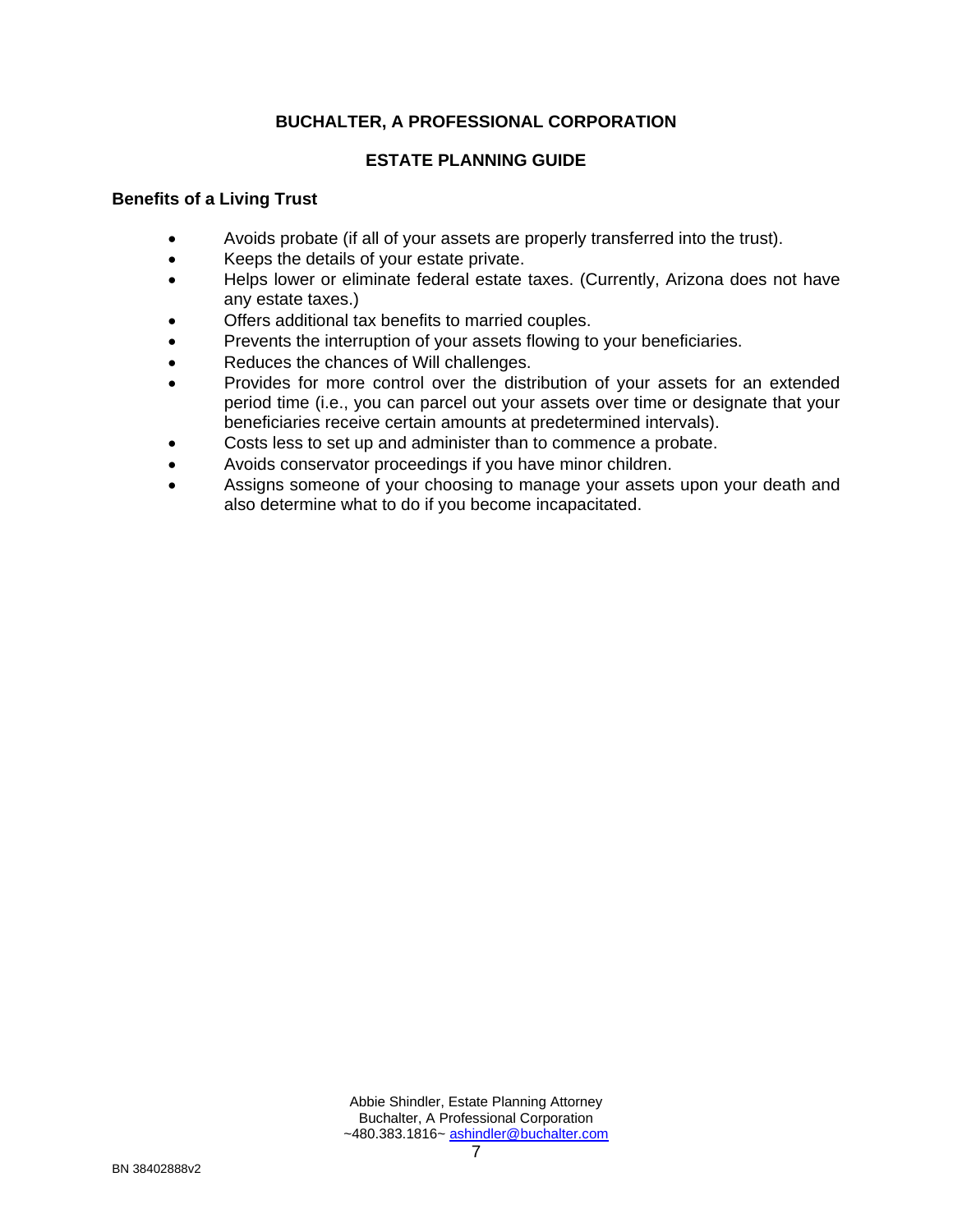#### **ESTATE PLANNING GUIDE**

#### **Benefits of a Living Trust**

- Avoids probate (if all of your assets are properly transferred into the trust).
- Keeps the details of your estate private.
- Helps lower or eliminate federal estate taxes. (Currently, Arizona does not have any estate taxes.)
- Offers additional tax benefits to married couples.
- Prevents the interruption of your assets flowing to your beneficiaries.
- Reduces the chances of Will challenges.
- Provides for more control over the distribution of your assets for an extended period time (i.e., you can parcel out your assets over time or designate that your beneficiaries receive certain amounts at predetermined intervals).
- Costs less to set up and administer than to commence a probate.
- Avoids conservator proceedings if you have minor children.
- Assigns someone of your choosing to manage your assets upon your death and also determine what to do if you become incapacitated.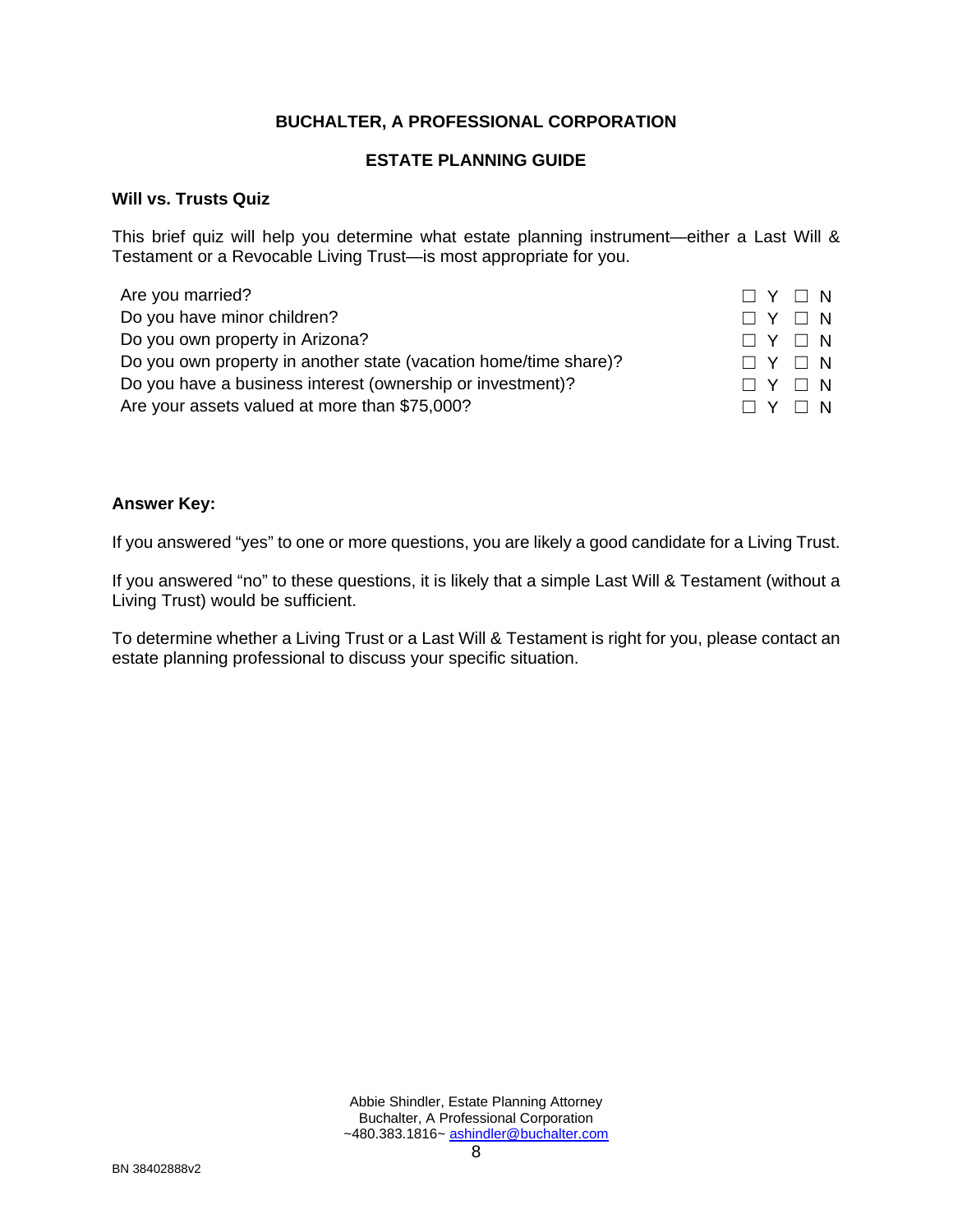#### **ESTATE PLANNING GUIDE**

#### **Will vs. Trusts Quiz**

This brief quiz will help you determine what estate planning instrument—either a Last Will & Testament or a Revocable Living Trust—is most appropriate for you.

| Are you married?                                                 | $\Box$ Y $\Box$ N |
|------------------------------------------------------------------|-------------------|
| Do you have minor children?                                      | $\Box$ Y $\Box$ N |
| Do you own property in Arizona?                                  | $\Box$ Y $\Box$ N |
| Do you own property in another state (vacation home/time share)? | $\Box$ Y $\Box$ N |
| Do you have a business interest (ownership or investment)?       | $\Box$ Y $\Box$ N |
| Are your assets valued at more than \$75,000?                    | $\Box$ Y $\Box$ N |

#### **Answer Key:**

If you answered "yes" to one or more questions, you are likely a good candidate for a Living Trust.

If you answered "no" to these questions, it is likely that a simple Last Will & Testament (without a Living Trust) would be sufficient.

To determine whether a Living Trust or a Last Will & Testament is right for you, please contact an estate planning professional to discuss your specific situation.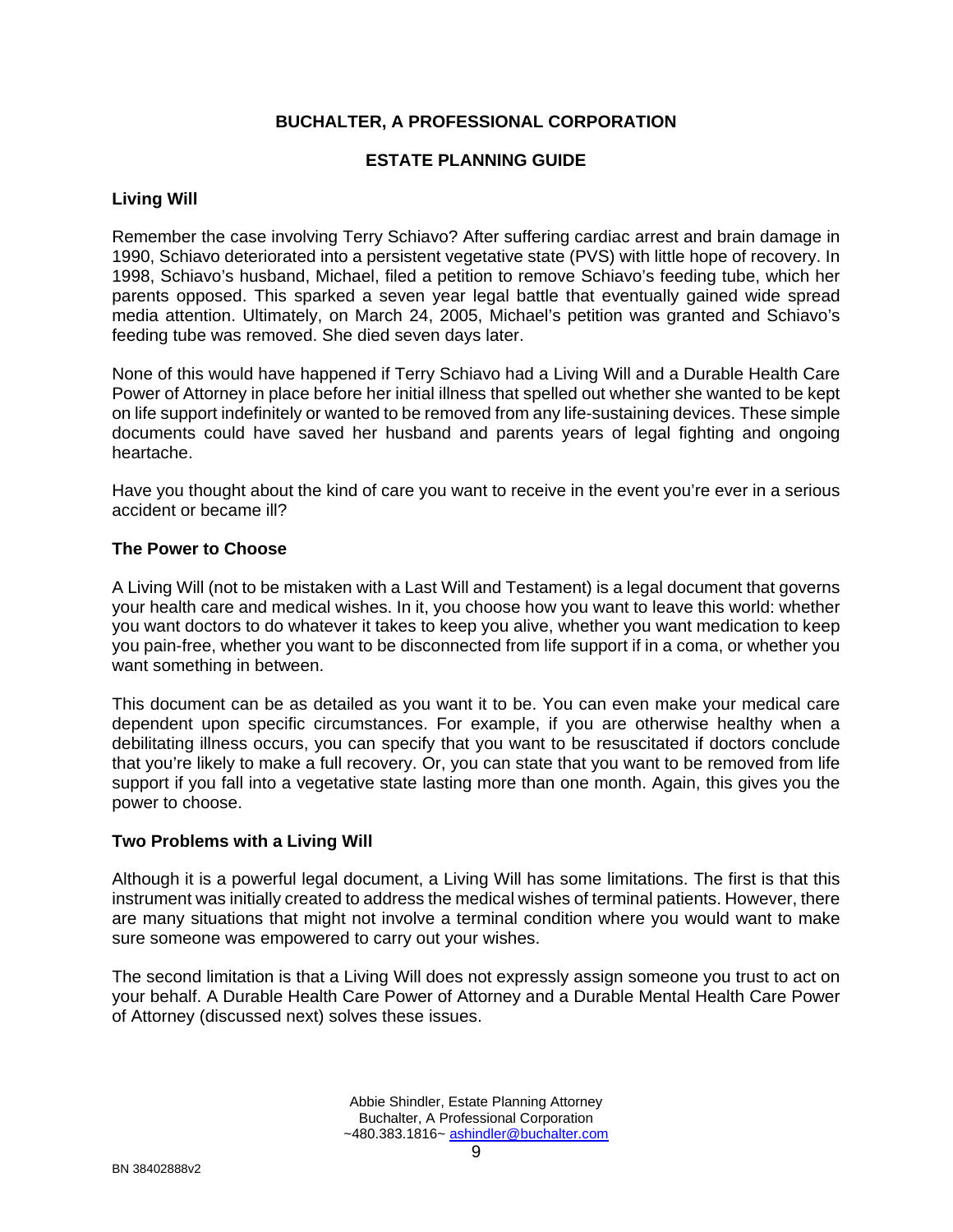#### **ESTATE PLANNING GUIDE**

#### **Living Will**

Remember the case involving Terry Schiavo? After suffering cardiac arrest and brain damage in 1990, Schiavo deteriorated into a persistent vegetative state (PVS) with little hope of recovery. In 1998, Schiavo's husband, Michael, filed a petition to remove Schiavo's feeding tube, which her parents opposed. This sparked a seven year legal battle that eventually gained wide spread media attention. Ultimately, on March 24, 2005, Michael's petition was granted and Schiavo's feeding tube was removed. She died seven days later.

None of this would have happened if Terry Schiavo had a Living Will and a Durable Health Care Power of Attorney in place before her initial illness that spelled out whether she wanted to be kept on life support indefinitely or wanted to be removed from any life-sustaining devices. These simple documents could have saved her husband and parents years of legal fighting and ongoing heartache.

Have you thought about the kind of care you want to receive in the event you're ever in a serious accident or became ill?

#### **The Power to Choose**

A Living Will (not to be mistaken with a Last Will and Testament) is a legal document that governs your health care and medical wishes. In it, you choose how you want to leave this world: whether you want doctors to do whatever it takes to keep you alive, whether you want medication to keep you pain-free, whether you want to be disconnected from life support if in a coma, or whether you want something in between.

This document can be as detailed as you want it to be. You can even make your medical care dependent upon specific circumstances. For example, if you are otherwise healthy when a debilitating illness occurs, you can specify that you want to be resuscitated if doctors conclude that you're likely to make a full recovery. Or, you can state that you want to be removed from life support if you fall into a vegetative state lasting more than one month. Again, this gives you the power to choose.

#### **Two Problems with a Living Will**

Although it is a powerful legal document, a Living Will has some limitations. The first is that this instrument was initially created to address the medical wishes of terminal patients. However, there are many situations that might not involve a terminal condition where you would want to make sure someone was empowered to carry out your wishes.

The second limitation is that a Living Will does not expressly assign someone you trust to act on your behalf. A Durable Health Care Power of Attorney and a Durable Mental Health Care Power of Attorney (discussed next) solves these issues.

> Abbie Shindler, Estate Planning Attorney Buchalter, A Professional Corporation ~480.383.1816~ ashindler@buchalter.com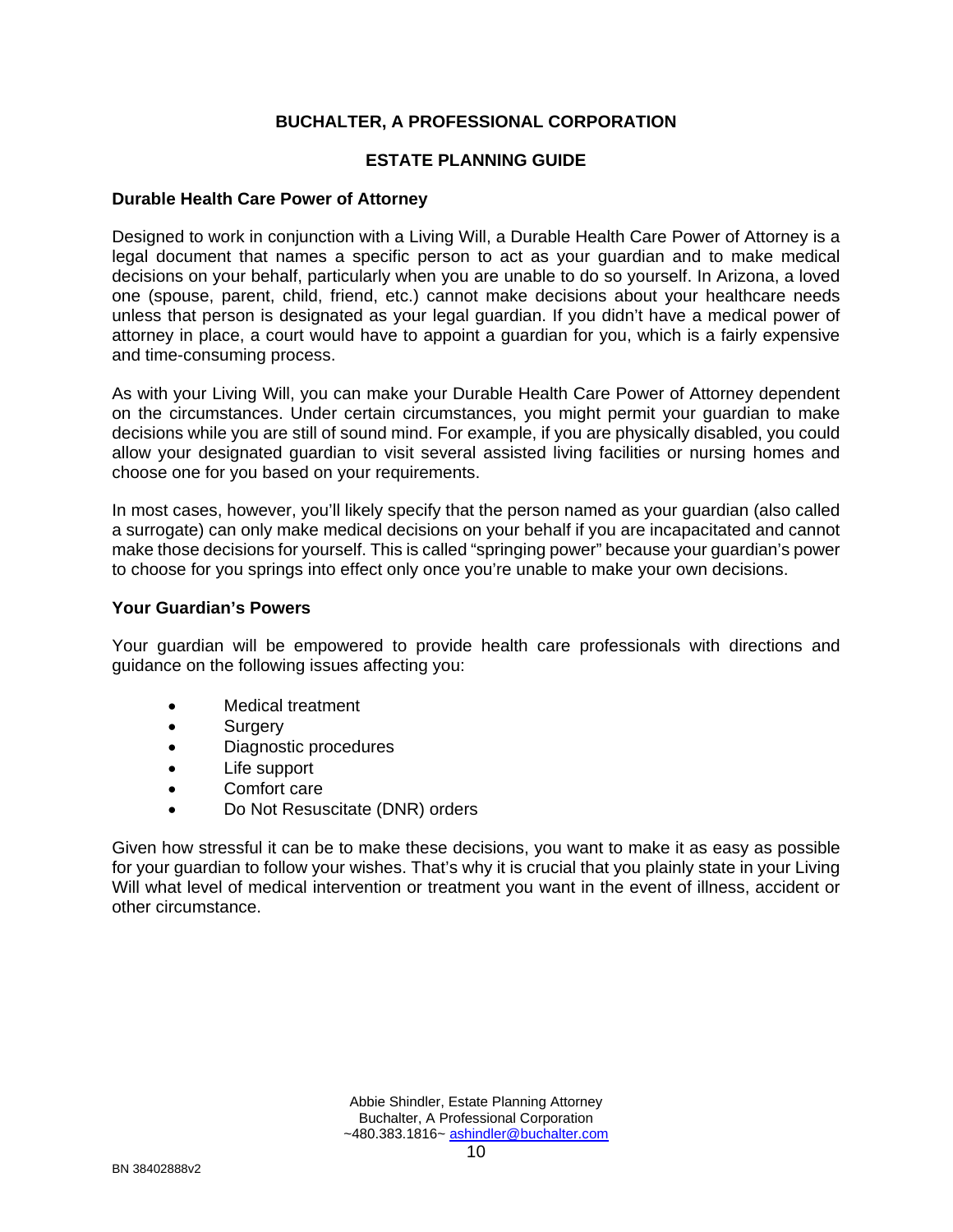#### **ESTATE PLANNING GUIDE**

#### **Durable Health Care Power of Attorney**

Designed to work in conjunction with a Living Will, a Durable Health Care Power of Attorney is a legal document that names a specific person to act as your guardian and to make medical decisions on your behalf, particularly when you are unable to do so yourself. In Arizona, a loved one (spouse, parent, child, friend, etc.) cannot make decisions about your healthcare needs unless that person is designated as your legal guardian. If you didn't have a medical power of attorney in place, a court would have to appoint a guardian for you, which is a fairly expensive and time-consuming process.

As with your Living Will, you can make your Durable Health Care Power of Attorney dependent on the circumstances. Under certain circumstances, you might permit your guardian to make decisions while you are still of sound mind. For example, if you are physically disabled, you could allow your designated guardian to visit several assisted living facilities or nursing homes and choose one for you based on your requirements.

In most cases, however, you'll likely specify that the person named as your guardian (also called a surrogate) can only make medical decisions on your behalf if you are incapacitated and cannot make those decisions for yourself. This is called "springing power" because your guardian's power to choose for you springs into effect only once you're unable to make your own decisions.

#### **Your Guardian's Powers**

Your guardian will be empowered to provide health care professionals with directions and guidance on the following issues affecting you:

- Medical treatment
- Surgery
- Diagnostic procedures
- Life support
- Comfort care
- Do Not Resuscitate (DNR) orders

Given how stressful it can be to make these decisions, you want to make it as easy as possible for your guardian to follow your wishes. That's why it is crucial that you plainly state in your Living Will what level of medical intervention or treatment you want in the event of illness, accident or other circumstance.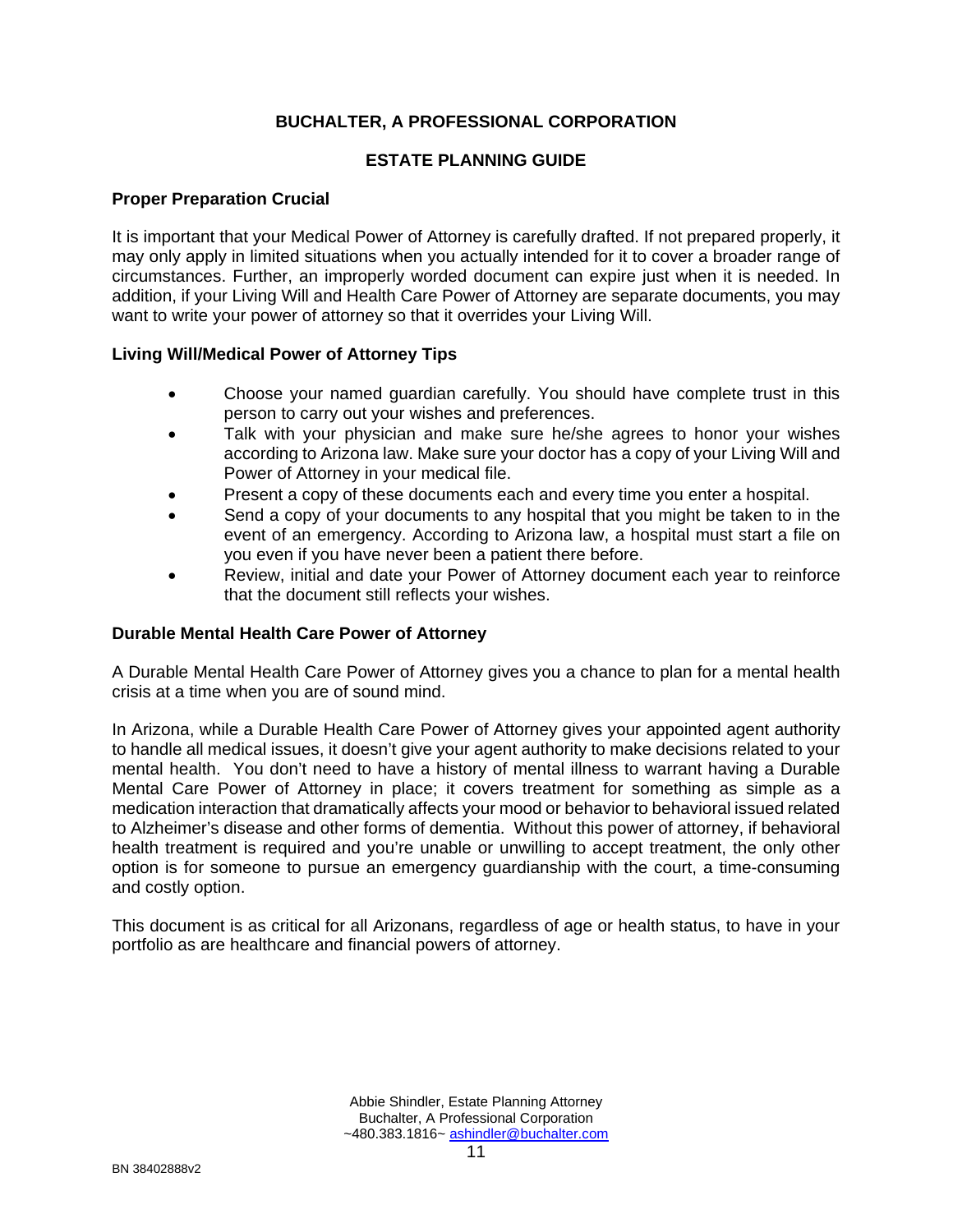#### **ESTATE PLANNING GUIDE**

#### **Proper Preparation Crucial**

It is important that your Medical Power of Attorney is carefully drafted. If not prepared properly, it may only apply in limited situations when you actually intended for it to cover a broader range of circumstances. Further, an improperly worded document can expire just when it is needed. In addition, if your Living Will and Health Care Power of Attorney are separate documents, you may want to write your power of attorney so that it overrides your Living Will.

#### **Living Will/Medical Power of Attorney Tips**

- Choose your named guardian carefully. You should have complete trust in this person to carry out your wishes and preferences.
- Talk with your physician and make sure he/she agrees to honor your wishes according to Arizona law. Make sure your doctor has a copy of your Living Will and Power of Attorney in your medical file.
- Present a copy of these documents each and every time you enter a hospital.
- Send a copy of your documents to any hospital that you might be taken to in the event of an emergency. According to Arizona law, a hospital must start a file on you even if you have never been a patient there before.
- Review, initial and date your Power of Attorney document each year to reinforce that the document still reflects your wishes.

#### **Durable Mental Health Care Power of Attorney**

A Durable Mental Health Care Power of Attorney gives you a chance to plan for a mental health crisis at a time when you are of sound mind.

In Arizona, while a Durable Health Care Power of Attorney gives your appointed agent authority to handle all medical issues, it doesn't give your agent authority to make decisions related to your mental health. You don't need to have a history of mental illness to warrant having a Durable Mental Care Power of Attorney in place; it covers treatment for something as simple as a medication interaction that dramatically affects your mood or behavior to behavioral issued related to Alzheimer's disease and other forms of dementia. Without this power of attorney, if behavioral health treatment is required and you're unable or unwilling to accept treatment, the only other option is for someone to pursue an emergency guardianship with the court, a time-consuming and costly option.

This document is as critical for all Arizonans, regardless of age or health status, to have in your portfolio as are healthcare and financial powers of attorney.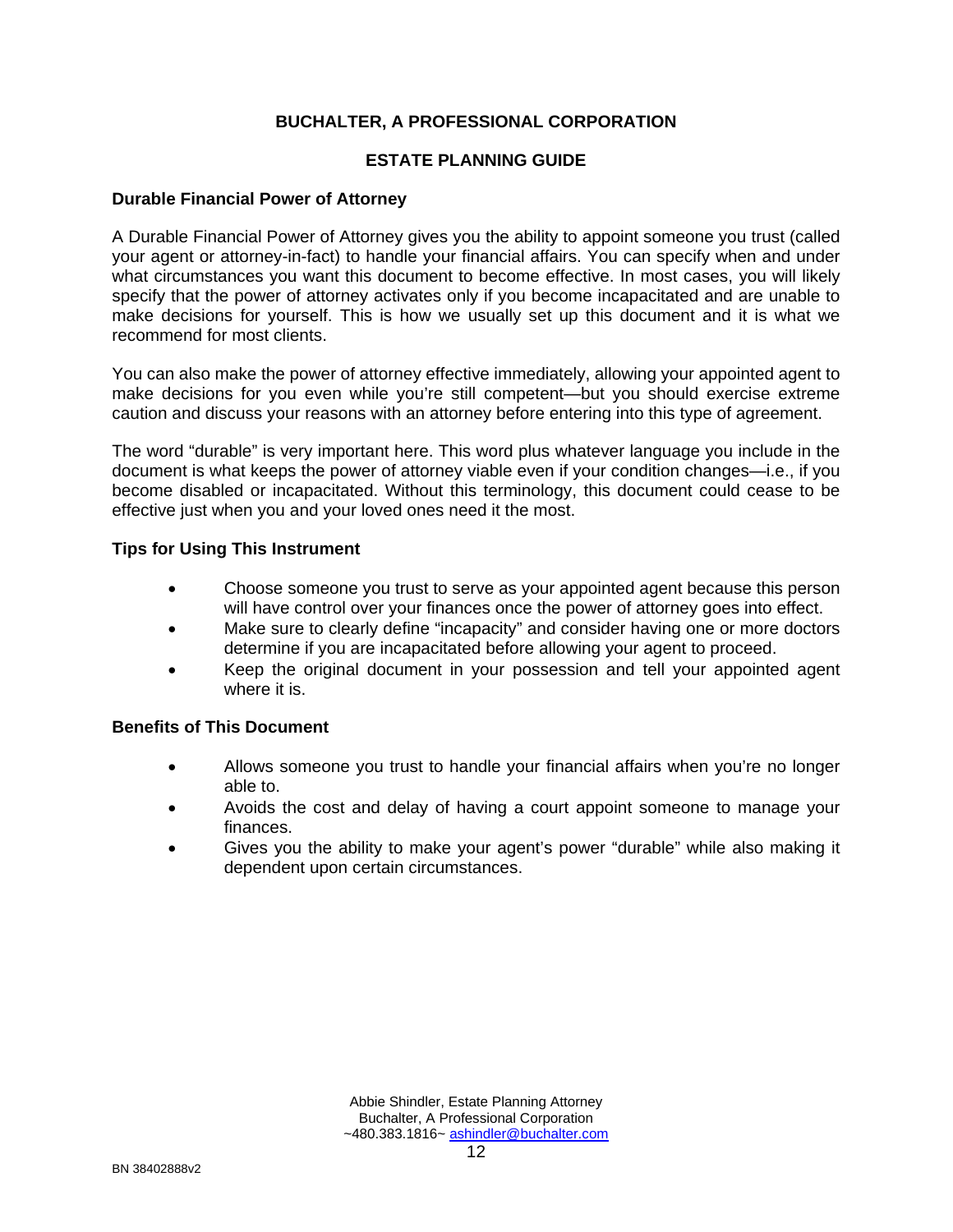#### **ESTATE PLANNING GUIDE**

#### **Durable Financial Power of Attorney**

A Durable Financial Power of Attorney gives you the ability to appoint someone you trust (called your agent or attorney-in-fact) to handle your financial affairs. You can specify when and under what circumstances you want this document to become effective. In most cases, you will likely specify that the power of attorney activates only if you become incapacitated and are unable to make decisions for yourself. This is how we usually set up this document and it is what we recommend for most clients.

You can also make the power of attorney effective immediately, allowing your appointed agent to make decisions for you even while you're still competent—but you should exercise extreme caution and discuss your reasons with an attorney before entering into this type of agreement.

The word "durable" is very important here. This word plus whatever language you include in the document is what keeps the power of attorney viable even if your condition changes—i.e., if you become disabled or incapacitated. Without this terminology, this document could cease to be effective just when you and your loved ones need it the most.

#### **Tips for Using This Instrument**

- Choose someone you trust to serve as your appointed agent because this person will have control over your finances once the power of attorney goes into effect.
- Make sure to clearly define "incapacity" and consider having one or more doctors determine if you are incapacitated before allowing your agent to proceed.
- Keep the original document in your possession and tell your appointed agent where it is.

#### **Benefits of This Document**

- Allows someone you trust to handle your financial affairs when you're no longer able to.
- Avoids the cost and delay of having a court appoint someone to manage your finances.
- Gives you the ability to make your agent's power "durable" while also making it dependent upon certain circumstances.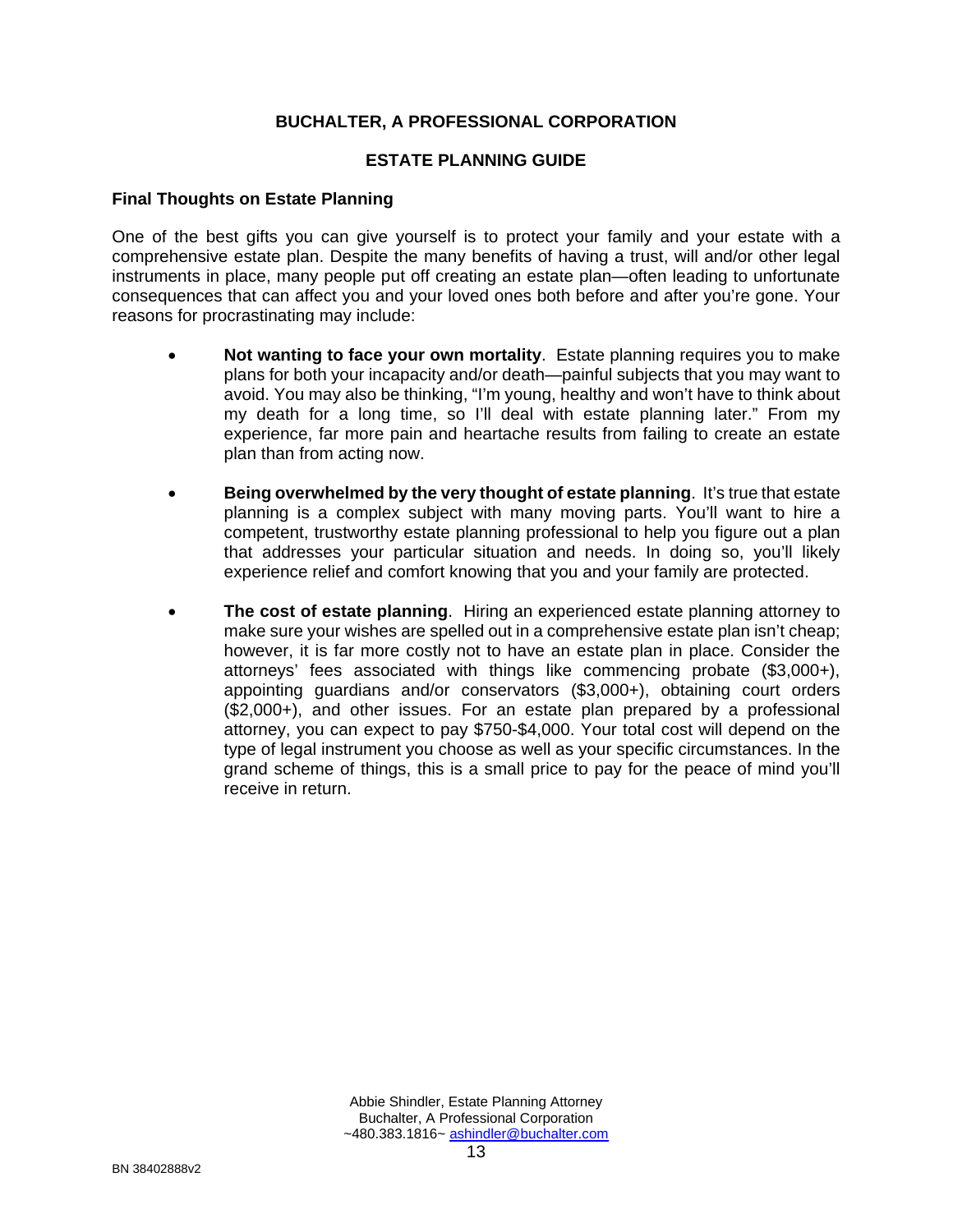#### **ESTATE PLANNING GUIDE**

#### **Final Thoughts on Estate Planning**

One of the best gifts you can give yourself is to protect your family and your estate with a comprehensive estate plan. Despite the many benefits of having a trust, will and/or other legal instruments in place, many people put off creating an estate plan—often leading to unfortunate consequences that can affect you and your loved ones both before and after you're gone. Your reasons for procrastinating may include:

- **Not wanting to face your own mortality**. Estate planning requires you to make plans for both your incapacity and/or death—painful subjects that you may want to avoid. You may also be thinking, "I'm young, healthy and won't have to think about my death for a long time, so I'll deal with estate planning later." From my experience, far more pain and heartache results from failing to create an estate plan than from acting now.
- **Being overwhelmed by the very thought of estate planning.** It's true that estate planning is a complex subject with many moving parts. You'll want to hire a competent, trustworthy estate planning professional to help you figure out a plan that addresses your particular situation and needs. In doing so, you'll likely experience relief and comfort knowing that you and your family are protected.
- **The cost of estate planning**. Hiring an experienced estate planning attorney to make sure your wishes are spelled out in a comprehensive estate plan isn't cheap; however, it is far more costly not to have an estate plan in place. Consider the attorneys' fees associated with things like commencing probate (\$3,000+), appointing guardians and/or conservators (\$3,000+), obtaining court orders (\$2,000+), and other issues. For an estate plan prepared by a professional attorney, you can expect to pay \$750-\$4,000. Your total cost will depend on the type of legal instrument you choose as well as your specific circumstances. In the grand scheme of things, this is a small price to pay for the peace of mind you'll receive in return.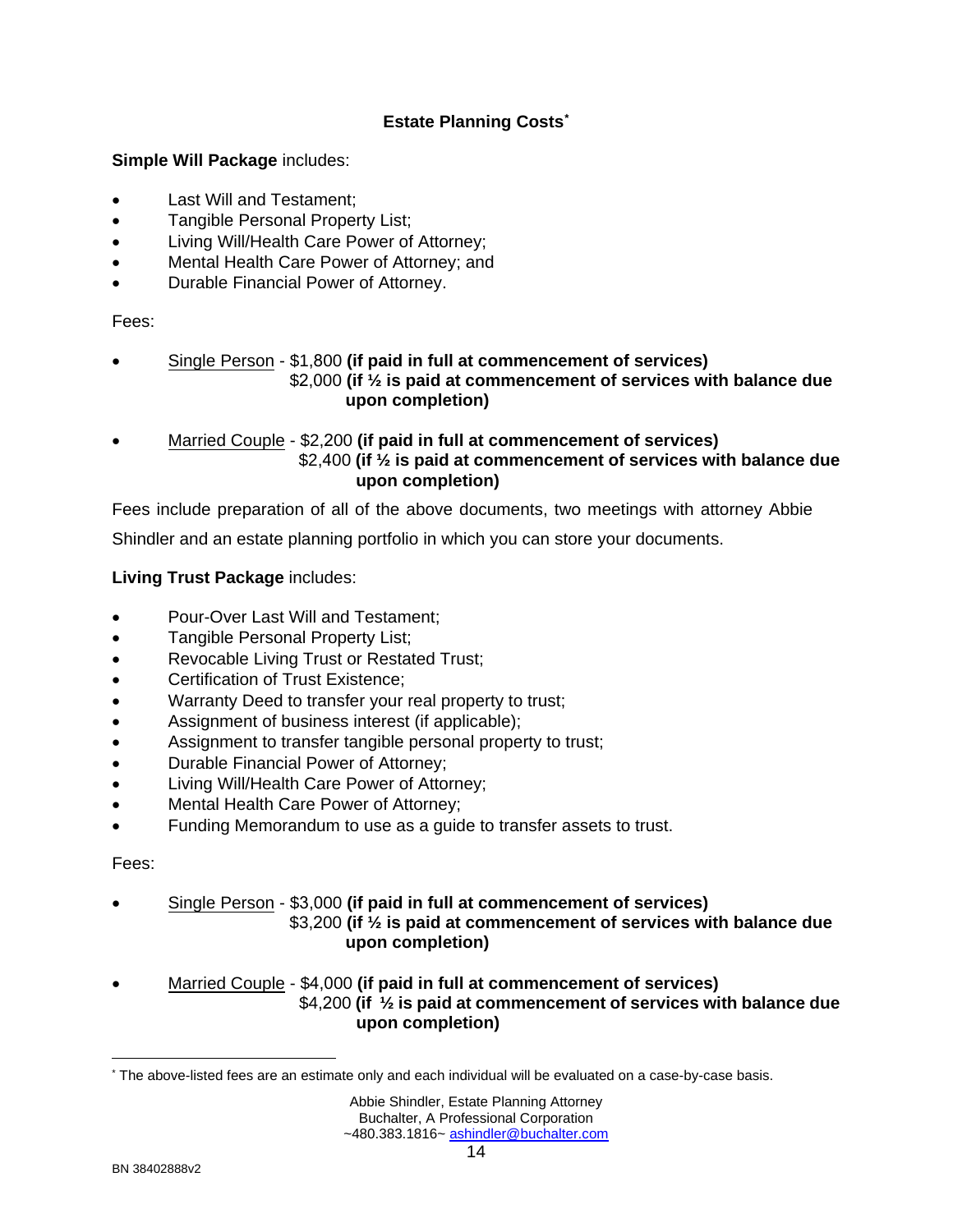#### **Estate Planning Costs\***

#### **Simple Will Package includes:**

- Last Will and Testament:
- Tangible Personal Property List;
- Living Will/Health Care Power of Attorney;
- Mental Health Care Power of Attorney; and
- Durable Financial Power of Attorney.

#### Fees:

- Single Person \$1,800 **(if paid in full at commencement of services)** \$2,000 **(if ½ is paid at commencement of services with balance due upon completion)**
- Married Couple \$2,200 **(if paid in full at commencement of services)** \$2,400 **(if ½ is paid at commencement of services with balance due upon completion)**

Fees include preparation of all of the above documents, two meetings with attorney Abbie

Shindler and an estate planning portfolio in which you can store your documents.

#### **Living Trust Package** includes:

- Pour-Over Last Will and Testament;
- Tangible Personal Property List;
- Revocable Living Trust or Restated Trust;
- Certification of Trust Existence;
- Warranty Deed to transfer your real property to trust;
- Assignment of business interest (if applicable);
- Assignment to transfer tangible personal property to trust;
- Durable Financial Power of Attorney;
- Living Will/Health Care Power of Attorney;
- Mental Health Care Power of Attorney;
- Funding Memorandum to use as a guide to transfer assets to trust.

#### Fees:

• Single Person - \$3,000 **(if paid in full at commencement of services)**

 \$3,200 **(if ½ is paid at commencement of services with balance due upon completion)**

• Married Couple - \$4,000 **(if paid in full at commencement of services)** \$4,200 **(if ½ is paid at commencement of services with balance due upon completion)**

<sup>\*</sup> The above-listed fees are an estimate only and each individual will be evaluated on a case-by-case basis.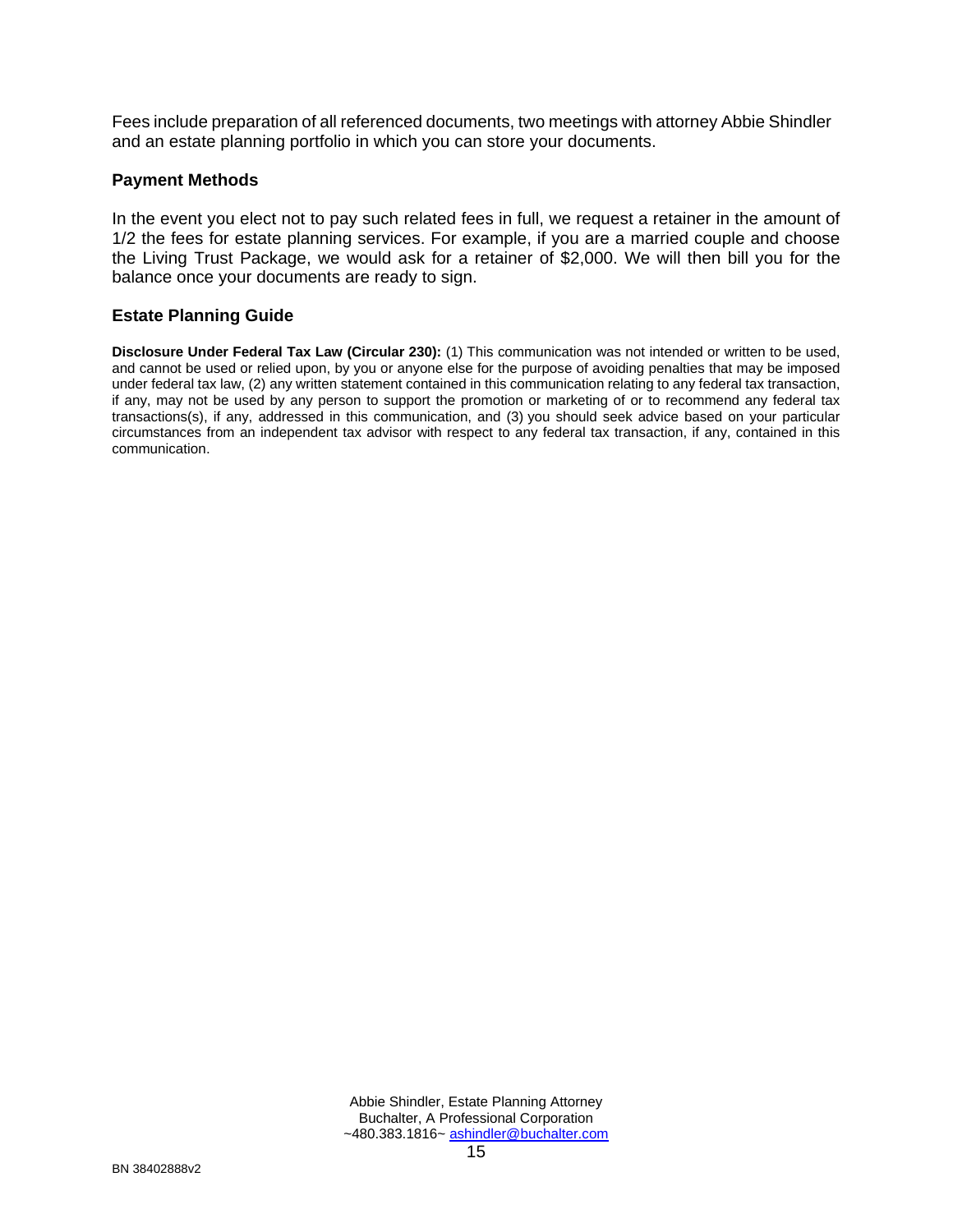Fees include preparation of all referenced documents, two meetings with attorney Abbie Shindler and an estate planning portfolio in which you can store your documents.

#### **Payment Methods**

In the event you elect not to pay such related fees in full, we request a retainer in the amount of 1/2 the fees for estate planning services. For example, if you are a married couple and choose the Living Trust Package, we would ask for a retainer of \$2,000. We will then bill you for the balance once your documents are ready to sign.

#### **Estate Planning Guide**

**Disclosure Under Federal Tax Law (Circular 230):** (1) This communication was not intended or written to be used, and cannot be used or relied upon, by you or anyone else for the purpose of avoiding penalties that may be imposed under federal tax law, (2) any written statement contained in this communication relating to any federal tax transaction, if any, may not be used by any person to support the promotion or marketing of or to recommend any federal tax transactions(s), if any, addressed in this communication, and (3) you should seek advice based on your particular circumstances from an independent tax advisor with respect to any federal tax transaction, if any, contained in this communication.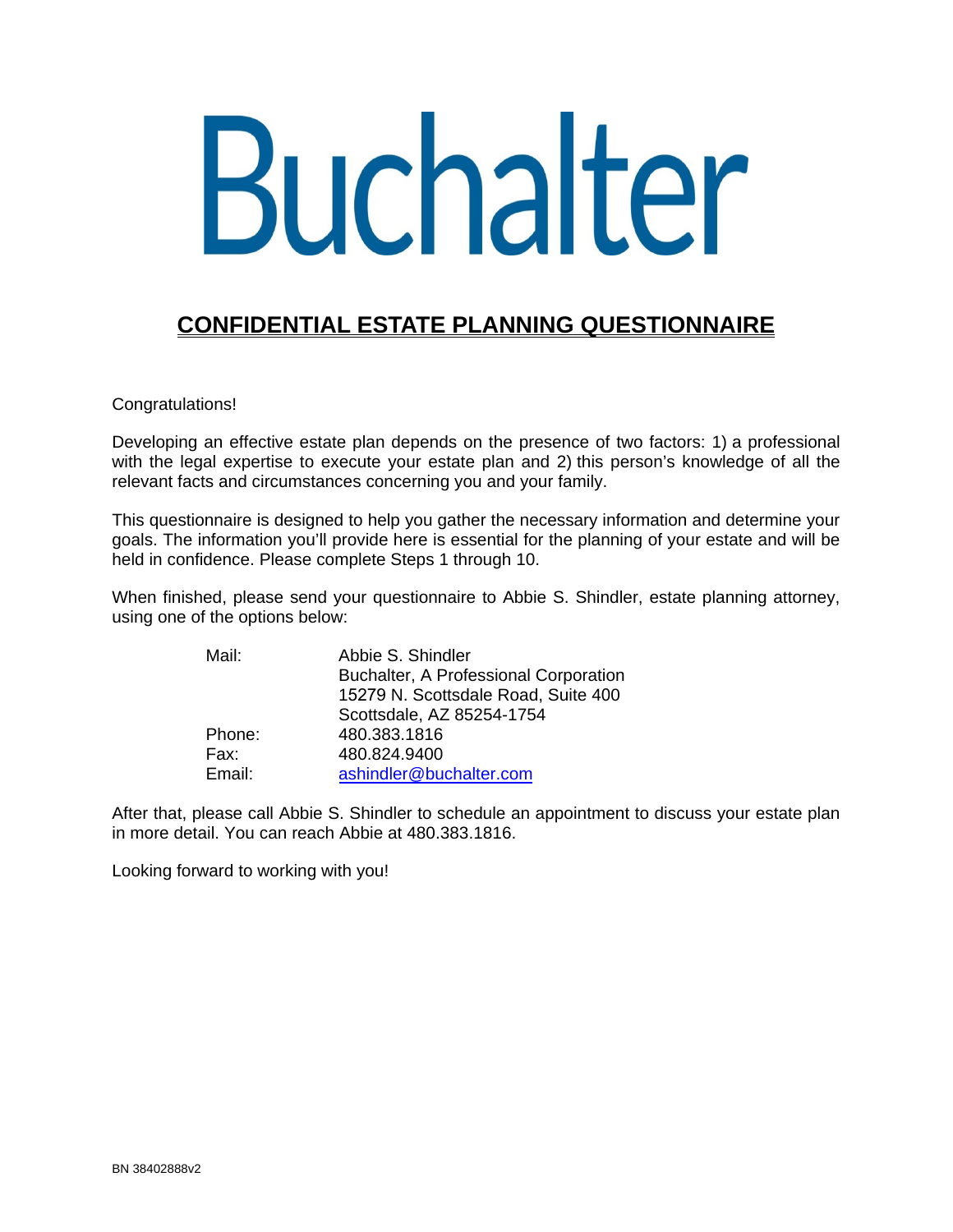# Buchalter

# **CONFIDENTIAL ESTATE PLANNING QUESTIONNAIRE**

Congratulations!

Developing an effective estate plan depends on the presence of two factors: 1) a professional with the legal expertise to execute your estate plan and 2) this person's knowledge of all the relevant facts and circumstances concerning you and your family.

This questionnaire is designed to help you gather the necessary information and determine your goals. The information you'll provide here is essential for the planning of your estate and will be held in confidence. Please complete Steps 1 through 10.

When finished, please send your questionnaire to Abbie S. Shindler, estate planning attorney, using one of the options below:

| Mail:  | Abbie S. Shindler                            |
|--------|----------------------------------------------|
|        | <b>Buchalter, A Professional Corporation</b> |
|        | 15279 N. Scottsdale Road, Suite 400          |
|        | Scottsdale, AZ 85254-1754                    |
| Phone: | 480.383.1816                                 |
| Fax:   | 480.824.9400                                 |
| Email: | ashindler@buchalter.com                      |

After that, please call Abbie S. Shindler to schedule an appointment to discuss your estate plan in more detail. You can reach Abbie at 480.383.1816.

Looking forward to working with you!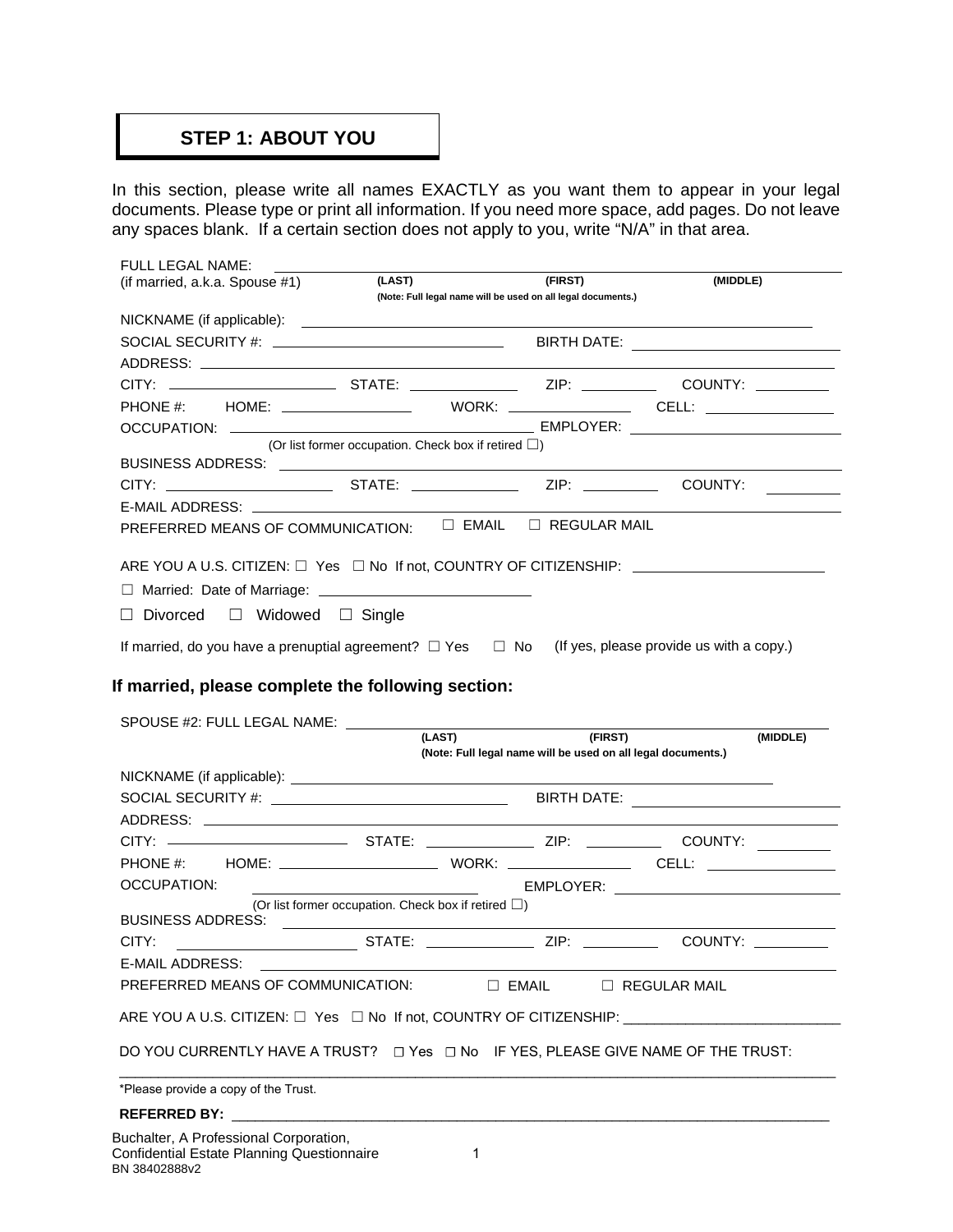### **STEP 1: ABOUT YOU**

In this section, please write all names EXACTLY as you want them to appear in your legal documents. Please type or print all information. If you need more space, add pages. Do not leave any spaces blank. If a certain section does not apply to you, write "N/A" in that area.

| FULL LEGAL NAME:                                                                                               |                                                              |                                                              |          |
|----------------------------------------------------------------------------------------------------------------|--------------------------------------------------------------|--------------------------------------------------------------|----------|
| (if married, a.k.a. Spouse #1)                                                                                 | (LAST)                                                       | (FIRST)                                                      | (MIDDLE) |
|                                                                                                                | (Note: Full legal name will be used on all legal documents.) |                                                              |          |
|                                                                                                                |                                                              |                                                              |          |
|                                                                                                                |                                                              |                                                              |          |
|                                                                                                                |                                                              |                                                              |          |
| CITY: ______________________________STATE: ______________________ZIP: _______________________COUNTY: _________ |                                                              |                                                              |          |
|                                                                                                                |                                                              |                                                              |          |
|                                                                                                                |                                                              |                                                              |          |
|                                                                                                                | (Or list former occupation. Check box if retired $\square$ ) |                                                              |          |
|                                                                                                                |                                                              |                                                              |          |
| CITY: _________________________________STATE: _______________________ZIP: _________________COUNTY:             |                                                              |                                                              |          |
|                                                                                                                |                                                              |                                                              |          |
| PREFERRED MEANS OF COMMUNICATION:                                                                              |                                                              | $\Box$ EMAIL $\Box$ REGULAR MAIL                             |          |
|                                                                                                                |                                                              |                                                              |          |
| ARE YOU A U.S. CITIZEN: □ Yes □ No If not, COUNTRY OF CITIZENSHIP: ____________________                        |                                                              |                                                              |          |
|                                                                                                                |                                                              |                                                              |          |
|                                                                                                                |                                                              |                                                              |          |
| $\Box$ Divorced $\Box$ Widowed $\Box$ Single                                                                   |                                                              |                                                              |          |
| If married, do you have a prenuptial agreement? $\Box$ Yes $\Box$ No (If yes, please provide us with a copy.)  |                                                              |                                                              |          |
|                                                                                                                |                                                              |                                                              |          |
| If married, please complete the following section:                                                             |                                                              |                                                              |          |
|                                                                                                                |                                                              |                                                              |          |
| SPOUSE #2: FULL LEGAL NAME: \[                                                                                 |                                                              |                                                              |          |
|                                                                                                                | (LAST)                                                       | (FIRST)                                                      | (MIDDLE) |
|                                                                                                                |                                                              | (Note: Full legal name will be used on all legal documents.) |          |

|                                      |                                                                                                                            | (Note: Full legal name will be used on all legal documents.) |  |
|--------------------------------------|----------------------------------------------------------------------------------------------------------------------------|--------------------------------------------------------------|--|
|                                      |                                                                                                                            |                                                              |  |
|                                      |                                                                                                                            |                                                              |  |
|                                      |                                                                                                                            |                                                              |  |
|                                      |                                                                                                                            |                                                              |  |
|                                      |                                                                                                                            |                                                              |  |
|                                      |                                                                                                                            |                                                              |  |
| <b>BUSINESS ADDRESS:</b>             | (Or list former occupation. Check box if retired $\Box$ )<br><u> 1989 - Andrea Stadt British, fransk politik (d. 1989)</u> |                                                              |  |
|                                      |                                                                                                                            |                                                              |  |
|                                      | E-MAIL ADDRESS: And All Andrew Management Control and All Andrew Management Control and All Andrew Management C            |                                                              |  |
|                                      | PREFERRED MEANS OF COMMUNICATION:                                                                                          | $\Box$ EMAIL $\Box$ REGULAR MAIL                             |  |
|                                      | ARE YOU A U.S. CITIZEN: $\square$ Yes $\square$ No If not, COUNTRY OF CITIZENSHIP:                                         |                                                              |  |
|                                      | DO YOU CURRENTLY HAVE A TRUST? $\Box$ Yes $\Box$ No IF YES, PLEASE GIVE NAME OF THE TRUST:                                 |                                                              |  |
| *Please provide a copy of the Trust. |                                                                                                                            |                                                              |  |
|                                      |                                                                                                                            |                                                              |  |
|                                      |                                                                                                                            |                                                              |  |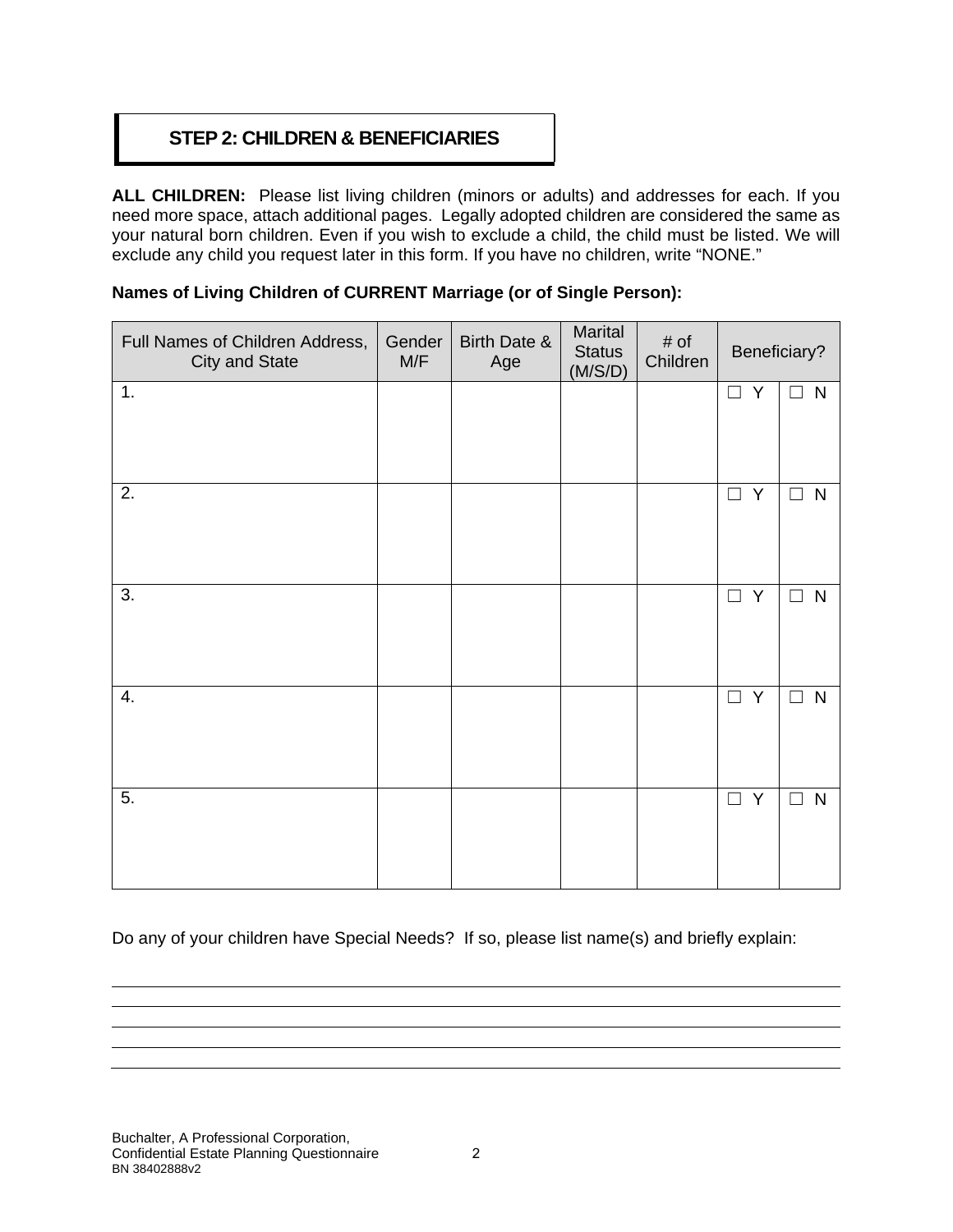## **STEP 2: CHILDREN & BENEFICIARIES**

**ALL CHILDREN:** Please list living children (minors or adults) and addresses for each. If you need more space, attach additional pages. Legally adopted children are considered the same as your natural born children. Even if you wish to exclude a child, the child must be listed. We will exclude any child you request later in this form. If you have no children, write "NONE."

#### **Names of Living Children of CURRENT Marriage (or of Single Person):**

| Full Names of Children Address,<br><b>City and State</b> | Gender<br>M/F | Birth Date &<br>Age | Marital<br><b>Status</b><br>(M/S/D) | # of<br>Children | Beneficiary? |                        |
|----------------------------------------------------------|---------------|---------------------|-------------------------------------|------------------|--------------|------------------------|
| 1.                                                       |               |                     |                                     |                  | $\Box$ Y     | $\mathsf{N}$<br>$\Box$ |
| 2.                                                       |               |                     |                                     |                  | Y<br>$\Box$  | ${\sf N}$<br>$\Box$    |
| 3.                                                       |               |                     |                                     |                  | Y<br>$\Box$  | ${\sf N}$<br>$\Box$    |
| 4.                                                       |               |                     |                                     |                  | Y<br>$\Box$  | ${\sf N}$<br>$\Box$    |
| 5.                                                       |               |                     |                                     |                  | $\Box$ Y     | ${\sf N}$<br>$\Box$    |

Do any of your children have Special Needs? If so, please list name(s) and briefly explain: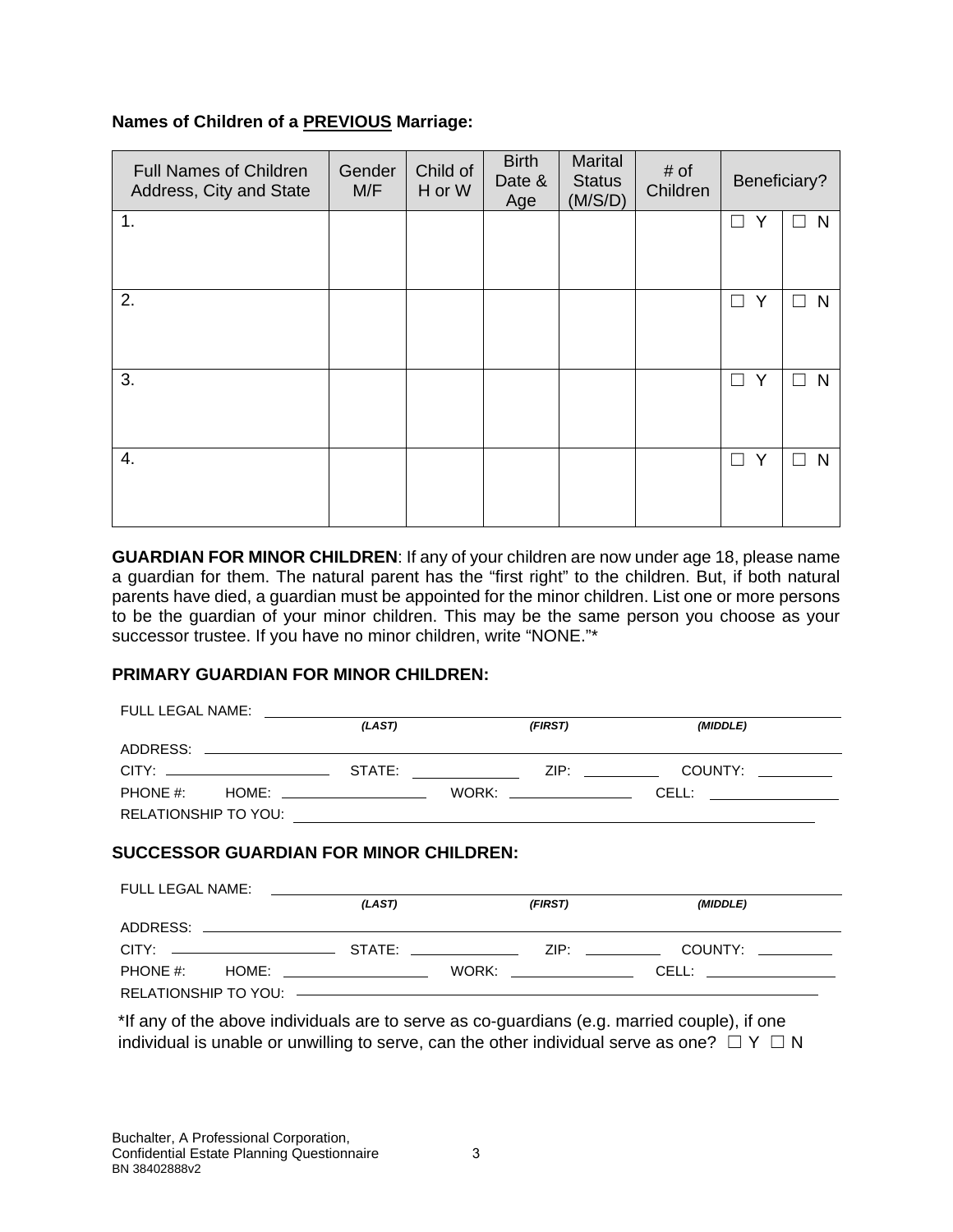#### **Names of Children of a PREVIOUS Marriage:**

| <b>Full Names of Children</b><br>Address, City and State | Gender<br>M/F | Child of<br>H or W | <b>Birth</b><br>Date &<br>Age | Marital<br><b>Status</b><br>(M/S/D) | # of<br>Children | Beneficiary? |             |
|----------------------------------------------------------|---------------|--------------------|-------------------------------|-------------------------------------|------------------|--------------|-------------|
| 1.                                                       |               |                    |                               |                                     |                  | Y<br>П       | N           |
| 2.                                                       |               |                    |                               |                                     |                  | Y<br>$\Box$  | N<br>П      |
| 3.                                                       |               |                    |                               |                                     |                  | Y<br>П       | N<br>□      |
| $\overline{4}$ .                                         |               |                    |                               |                                     |                  | Y<br>П       | N<br>$\Box$ |

**GUARDIAN FOR MINOR CHILDREN**: If any of your children are now under age 18, please name a guardian for them. The natural parent has the "first right" to the children. But, if both natural parents have died, a guardian must be appointed for the minor children. List one or more persons to be the guardian of your minor children. This may be the same person you choose as your successor trustee. If you have no minor children, write "NONE."\*

#### **PRIMARY GUARDIAN FOR MINOR CHILDREN:**

|                                        | (LAST) | (FIRST)         | (MIDDLE)                                                                                                                                                                                                                                                                                                                                       |  |
|----------------------------------------|--------|-----------------|------------------------------------------------------------------------------------------------------------------------------------------------------------------------------------------------------------------------------------------------------------------------------------------------------------------------------------------------|--|
|                                        |        |                 |                                                                                                                                                                                                                                                                                                                                                |  |
|                                        |        |                 | ZIP: Album and the state of the state of the state of the state of the state of the state of the state of the<br>COUNTY: And the country of the country of the country of the country of the country of the country of the country of the country of the country of the country of the country of the country of the country of the country of |  |
| $PHONE #:$ $HOME:$                     |        | WORK: WORK SALE | CELL: _____________                                                                                                                                                                                                                                                                                                                            |  |
|                                        |        |                 |                                                                                                                                                                                                                                                                                                                                                |  |
|                                        |        |                 |                                                                                                                                                                                                                                                                                                                                                |  |
| SUCCESSOR GUARDIAN FOR MINOR CHILDREN: |        |                 |                                                                                                                                                                                                                                                                                                                                                |  |

#### FULL LEGAL NAME: *(LAST) (FIRST) (MIDDLE)* ADDRESS: CITY: STATE: ZIP: COUNTY: PHONE #: HOME: WORK: CELL: RELATIONSHIP TO YOU:

\*If any of the above individuals are to serve as co-guardians (e.g. married couple), if one individual is unable or unwilling to serve, can the other individual serve as one?  $□ Y □ N$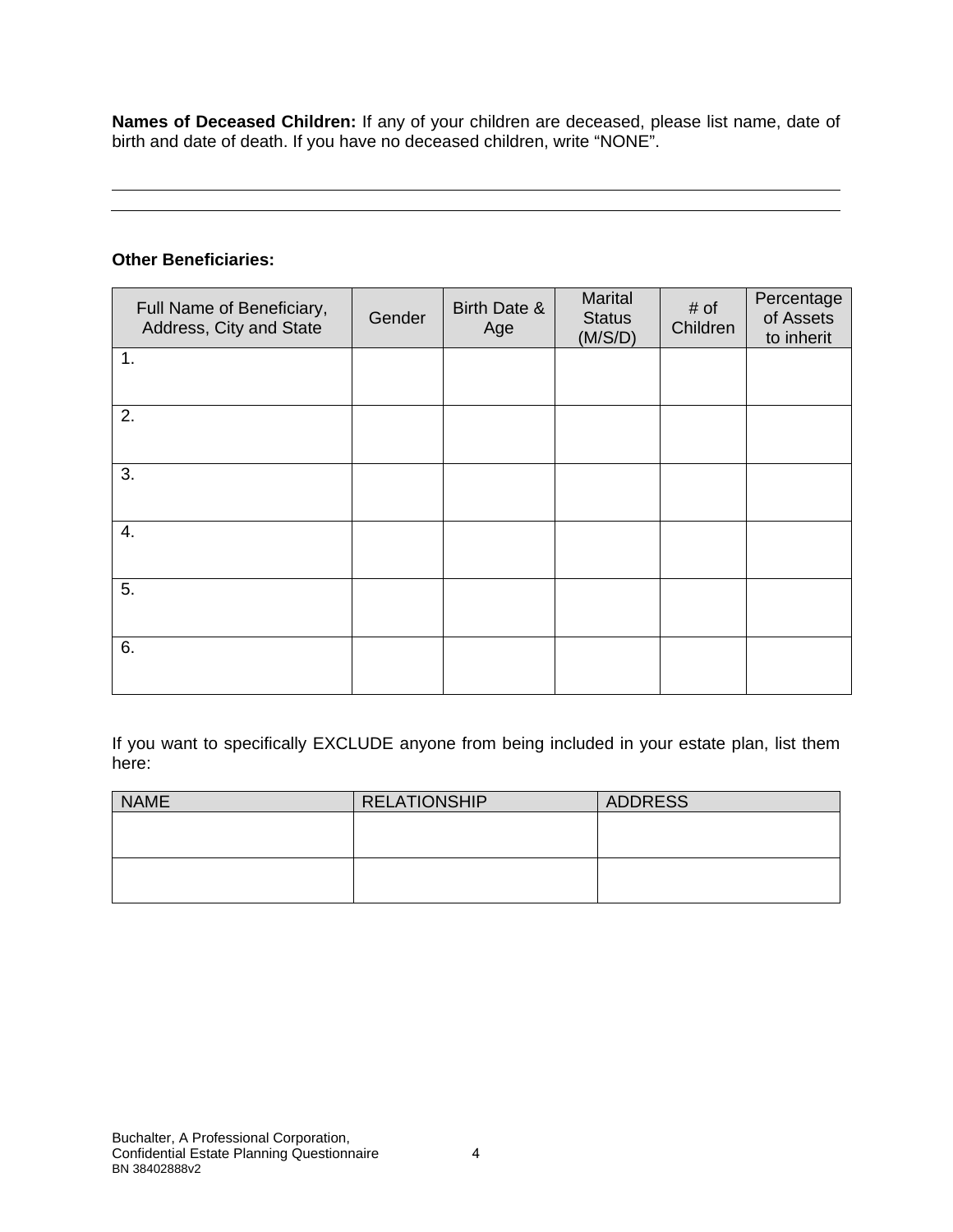**Names of Deceased Children:** If any of your children are deceased, please list name, date of birth and date of death. If you have no deceased children, write "NONE".

#### **Other Beneficiaries:**

| Full Name of Beneficiary,<br>Address, City and State | Gender | Birth Date &<br>Age | Marital<br><b>Status</b><br>(M/S/D) | # of<br>Children | Percentage<br>of Assets<br>to inherit |
|------------------------------------------------------|--------|---------------------|-------------------------------------|------------------|---------------------------------------|
| 1.                                                   |        |                     |                                     |                  |                                       |
| 2.                                                   |        |                     |                                     |                  |                                       |
| 3.                                                   |        |                     |                                     |                  |                                       |
| 4.                                                   |        |                     |                                     |                  |                                       |
| 5.                                                   |        |                     |                                     |                  |                                       |
| 6.                                                   |        |                     |                                     |                  |                                       |

If you want to specifically EXCLUDE anyone from being included in your estate plan, list them here:

| <b>NAME</b> | <b>RELATIONSHIP</b> | <b>ADDRESS</b> |
|-------------|---------------------|----------------|
|             |                     |                |
|             |                     |                |
|             |                     |                |
|             |                     |                |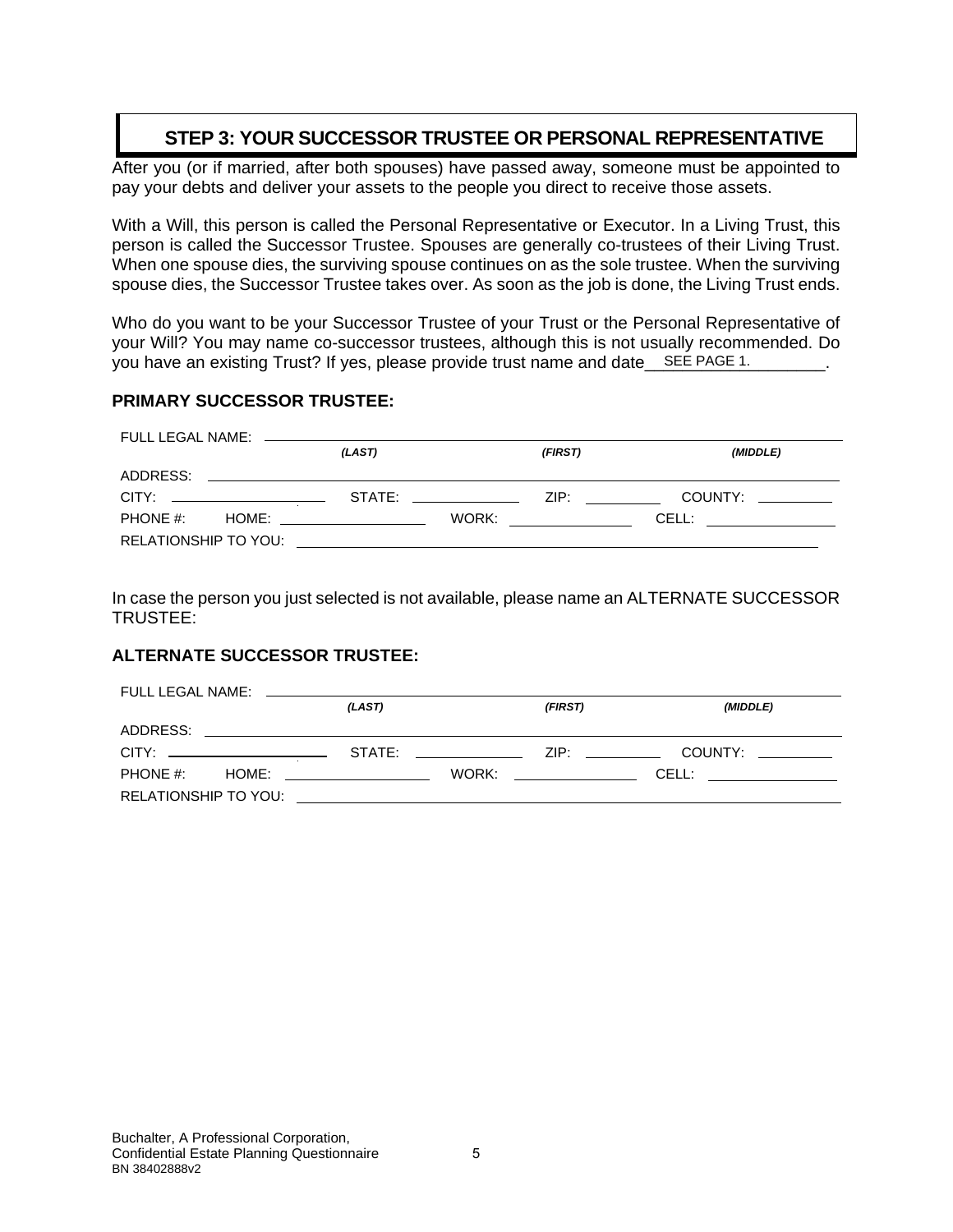# **STEP 3: YOUR SUCCESSOR TRUSTEE OR PERSONAL REPRESENTATIVE**

After you (or if married, after both spouses) have passed away, someone must be appointed to pay your debts and deliver your assets to the people you direct to receive those assets.

With a Will, this person is called the Personal Representative or Executor. In a Living Trust, this person is called the Successor Trustee. Spouses are generally co-trustees of their Living Trust. When one spouse dies, the surviving spouse continues on as the sole trustee. When the surviving spouse dies, the Successor Trustee takes over. As soon as the job is done, the Living Trust ends.

Who do you want to be your Successor Trustee of your Trust or the Personal Representative of your Will? You may name co-successor trustees, although this is not usually recommended. Do you have an existing Trust? If yes, please provide trust name and date\_\_SEE PAGE 1. \_\_\_\_\_\_\_\_\_.

#### **PRIMARY SUCCESSOR TRUSTEE:**

|                                | (LAST)                                                                                                                                                                                                                         |                        | (FIRST)                                                                                                        | (MIDDLE)              |
|--------------------------------|--------------------------------------------------------------------------------------------------------------------------------------------------------------------------------------------------------------------------------|------------------------|----------------------------------------------------------------------------------------------------------------|-----------------------|
|                                |                                                                                                                                                                                                                                |                        |                                                                                                                |                       |
| CITY: ________________________ | STATE: and the state of the state of the state of the state of the state of the state of the state of the state of the state of the state of the state of the state of the state of the state of the state of the state of the |                        | ZIP: Album and the second service of the series of the series of the series of the series of the series of the | COUNTY:               |
|                                |                                                                                                                                                                                                                                | WORK: ________________ |                                                                                                                | CELL: _______________ |
|                                | RELATIONSHIP TO YOU: WE ARRIVE TO A SERVER THE STATE OF THE STATE OF THE STATE OF THE STATE OF THE STATE OF TH                                                                                                                 |                        |                                                                                                                |                       |

In case the person you just selected is not available, please name an ALTERNATE SUCCESSOR TRUSTEE:

#### **ALTERNATE SUCCESSOR TRUSTEE:**

|                                            | (LAST) |                         | (FIRST)                   | (MIDDLE)              |
|--------------------------------------------|--------|-------------------------|---------------------------|-----------------------|
|                                            |        |                         |                           |                       |
| CITY: ______________________               |        | STATE: ________________ | ZIP: _________            | COUNTY:               |
| PHONE #: $\qquad$ HOME: __________________ |        |                         | WORK: ___________________ | CELL: _______________ |
|                                            |        |                         |                           |                       |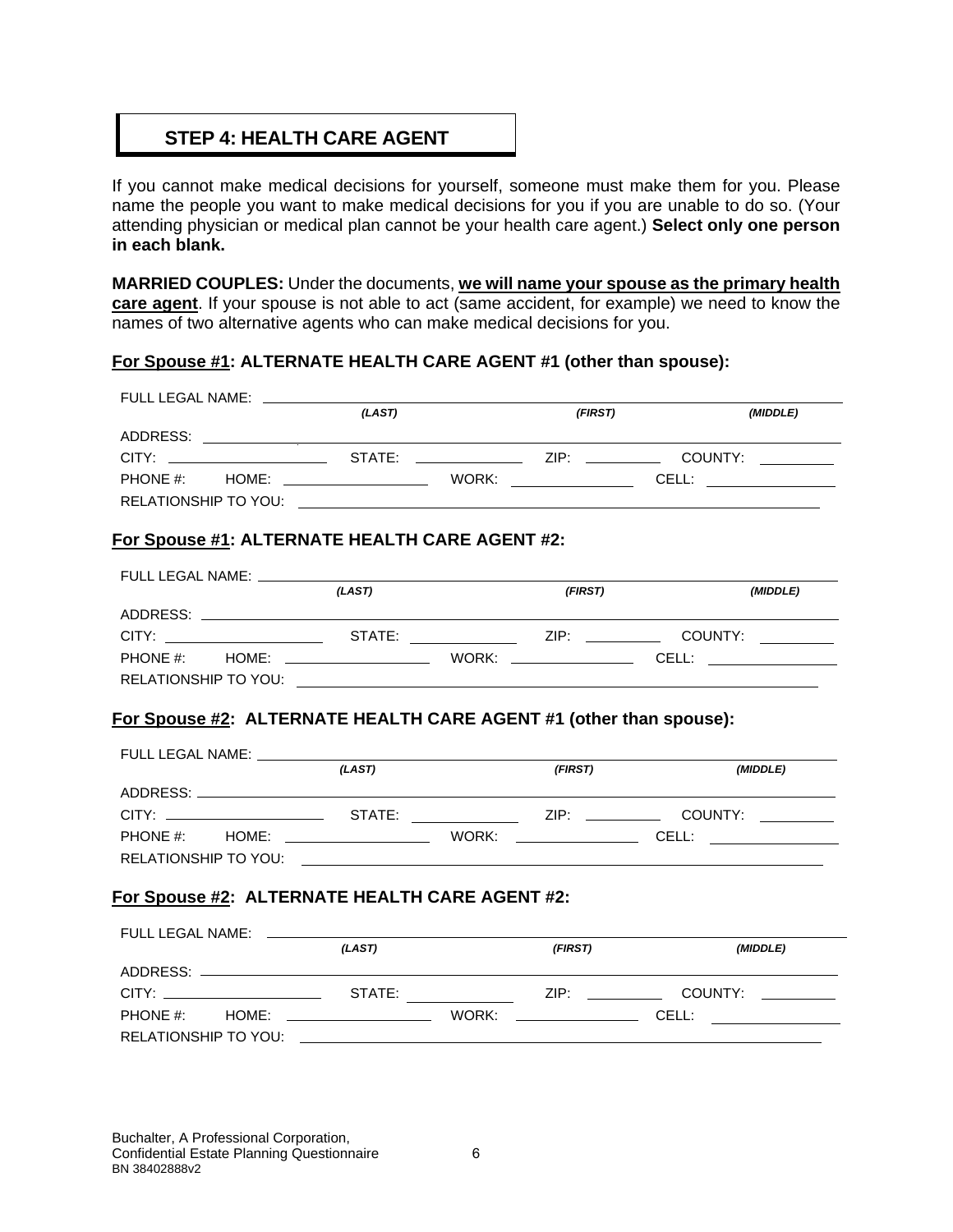# **STEP 4: HEALTH CARE AGENT**

If you cannot make medical decisions for yourself, someone must make them for you. Please name the people you want to make medical decisions for you if you are unable to do so. (Your attending physician or medical plan cannot be your health care agent.) **Select only one person in each blank.**

**MARRIED COUPLES:** Under the documents, **we will name your spouse as the primary health care agent**. If your spouse is not able to act (same accident, for example) we need to know the names of two alternative agents who can make medical decisions for you.

#### **For Spouse #1: ALTERNATE HEALTH CARE AGENT #1 (other than spouse):**

| FULL LEGAL NAME: _____________                                                   |        |         |          |
|----------------------------------------------------------------------------------|--------|---------|----------|
|                                                                                  | (LAST) | (FIRST) | (MIDDLE) |
|                                                                                  |        |         |          |
|                                                                                  |        |         |          |
|                                                                                  |        |         |          |
|                                                                                  |        |         |          |
|                                                                                  |        |         |          |
| For Spouse #1: ALTERNATE HEALTH CARE AGENT #2:                                   |        |         |          |
|                                                                                  |        |         |          |
|                                                                                  | (LAST) | (FIRST) | (MIDDLE) |
| ADDRESS: ADDRESS:                                                                |        |         |          |
| CITY: ___________________________STATE:          ZIP: ___________________COUNTY: |        |         |          |
|                                                                                  |        |         |          |
|                                                                                  |        |         |          |
| <b>For Spouse #2: ALTERNATE HEALTH CARE AGENT #1 (other than spouse):</b>        |        |         |          |
| FULL LEGAL NAME: _____________                                                   |        |         |          |
|                                                                                  | (LAST) | (FIRST) | (MIDDLE) |
|                                                                                  |        |         |          |
|                                                                                  |        |         |          |
|                                                                                  |        |         |          |
|                                                                                  |        |         |          |
|                                                                                  |        |         |          |
| For Spouse #2: ALTERNATE HEALTH CARE AGENT #2:                                   |        |         |          |
| FULL LEGAL NAME: _________                                                       |        |         |          |
|                                                                                  | (LAST) | (FIRST) | (MIDDLE) |
|                                                                                  |        |         |          |
|                                                                                  |        |         |          |
|                                                                                  |        |         |          |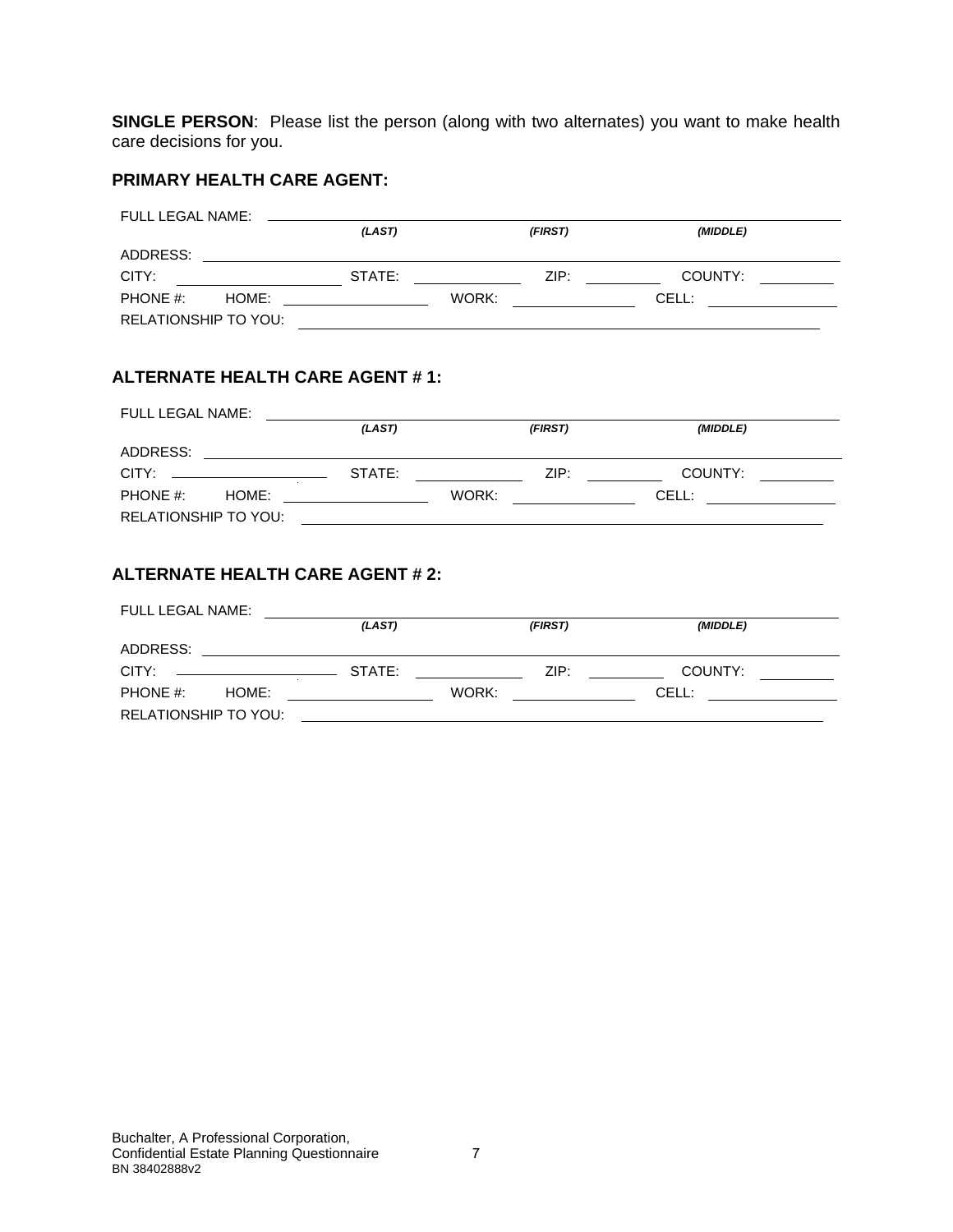**SINGLE PERSON**: Please list the person (along with two alternates) you want to make health care decisions for you.

#### **PRIMARY HEALTH CARE AGENT:**

| FULL LEGAL NAME:     |       |        |       |         |          |  |
|----------------------|-------|--------|-------|---------|----------|--|
|                      |       | (LAST) |       | (FIRST) | (MIDDLE) |  |
| ADDRESS:             |       |        |       |         |          |  |
| CITY:                |       | STATE: |       | ZIP:    | COUNTY:  |  |
| PHONE #:             | HOME: |        | WORK: |         | CELL:    |  |
| RELATIONSHIP TO YOU: |       |        |       |         |          |  |

#### **ALTERNATE HEALTH CARE AGENT # 1:**

| FULL LEGAL NAME:     |        |         |          |  |
|----------------------|--------|---------|----------|--|
|                      | (LAST) | (FIRST) | (MIDDLE) |  |
| ADDRESS:             |        |         |          |  |
|                      | STATE: | ZIP:    | COUNTY:  |  |
| PHONE #:<br>HOME:    |        | WORK:   | CELL:    |  |
| RELATIONSHIP TO YOU: |        |         |          |  |

#### **ALTERNATE HEALTH CARE AGENT # 2:**

| FULL LEGAL NAME:     |        |         |          |  |
|----------------------|--------|---------|----------|--|
|                      | (LAST) | (FIRST) | (MIDDLE) |  |
| ADDRESS:             |        |         |          |  |
| CITY:                | STATE: | ZIP:    | COUNTY:  |  |
| PHONE #:<br>HOME:    |        | WORK:   | CELL:    |  |
| RELATIONSHIP TO YOU: |        |         |          |  |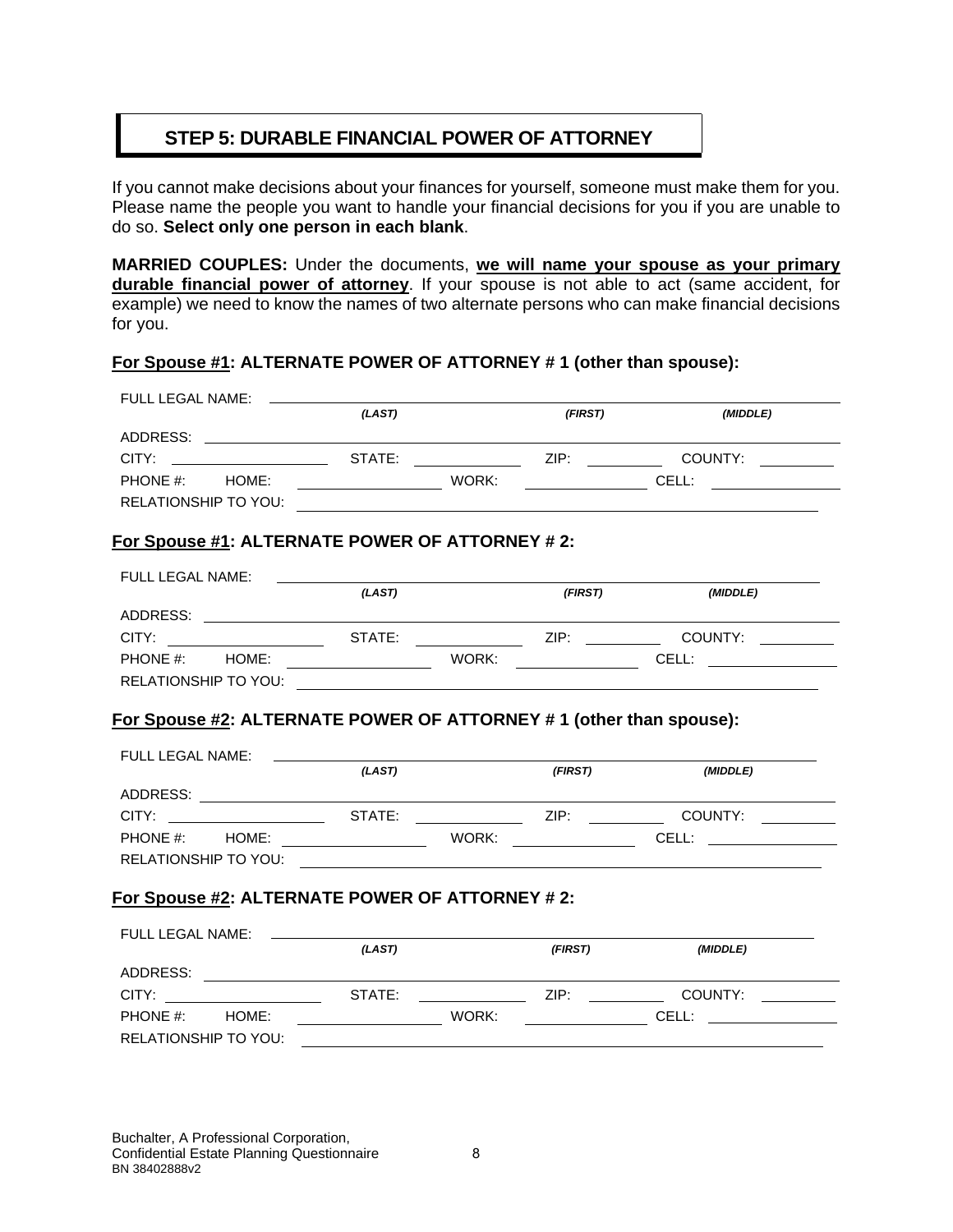# **STEP 5: DURABLE FINANCIAL POWER OF ATTORNEY**

If you cannot make decisions about your finances for yourself, someone must make them for you. Please name the people you want to handle your financial decisions for you if you are unable to do so. **Select only one person in each blank**.

**MARRIED COUPLES:** Under the documents, **we will name your spouse as your primary durable financial power of attorney**. If your spouse is not able to act (same accident, for example) we need to know the names of two alternate persons who can make financial decisions for you.

#### **For Spouse #1: ALTERNATE POWER OF ATTORNEY # 1 (other than spouse):**

| FULL LEGAL NAME:                                                                                                                | (LAST)                                  |       | (FIRST) | (MIDDLE)                    |
|---------------------------------------------------------------------------------------------------------------------------------|-----------------------------------------|-------|---------|-----------------------------|
|                                                                                                                                 |                                         |       |         |                             |
| CITY:                                                                                                                           |                                         |       |         |                             |
| PHONE #: HOME:                                                                                                                  | <u> 1989 - Johann Barbara, martin a</u> | WORK: |         | <b>CELL: CELL:</b>          |
| <b>RELATIONSHIP TO YOU:</b>                                                                                                     |                                         |       |         |                             |
| For Spouse #1: ALTERNATE POWER OF ATTORNEY #2:                                                                                  |                                         |       |         |                             |
| FULL LEGAL NAME:                                                                                                                |                                         |       |         |                             |
|                                                                                                                                 | (LAST)                                  |       | (FIRST) | (MIDDLE)                    |
| ADDRESS: AND ANNOUNCEMENT CONTINUES.                                                                                            |                                         |       |         |                             |
|                                                                                                                                 |                                         |       |         |                             |
|                                                                                                                                 |                                         | WORK: |         | <b>CELL: CELL:</b>          |
|                                                                                                                                 |                                         |       |         |                             |
| RELATIONSHIP TO YOU: <u>____________________________</u><br>For Spouse #2: ALTERNATE POWER OF ATTORNEY # 1 (other than spouse): |                                         |       |         |                             |
| FULL LEGAL NAME:                                                                                                                | (LAST)                                  |       | (FIRST) | (MIDDLE)                    |
|                                                                                                                                 |                                         |       |         |                             |
| CITY: COUNTY: COUNTY:                                                                                                           |                                         |       |         |                             |
|                                                                                                                                 |                                         |       |         |                             |
| RELATIONSHIP TO YOU:                                                                                                            |                                         |       |         |                             |
|                                                                                                                                 |                                         |       |         |                             |
| For Spouse #2: ALTERNATE POWER OF ATTORNEY # 2:                                                                                 |                                         |       |         |                             |
| FULL LEGAL NAME: ________                                                                                                       |                                         |       |         |                             |
|                                                                                                                                 | (LAST)                                  |       | (FIRST) | (MIDDLE)                    |
|                                                                                                                                 |                                         |       |         |                             |
| CITY:                                                                                                                           | STATE:                                  |       |         | <b>Example 21P: COUNTY:</b> |
| PHONE #: HOME:                                                                                                                  |                                         |       |         |                             |

Buchalter, A Professional Corporation, Confidential Estate Planning Questionnaire 8 BN 38402888v2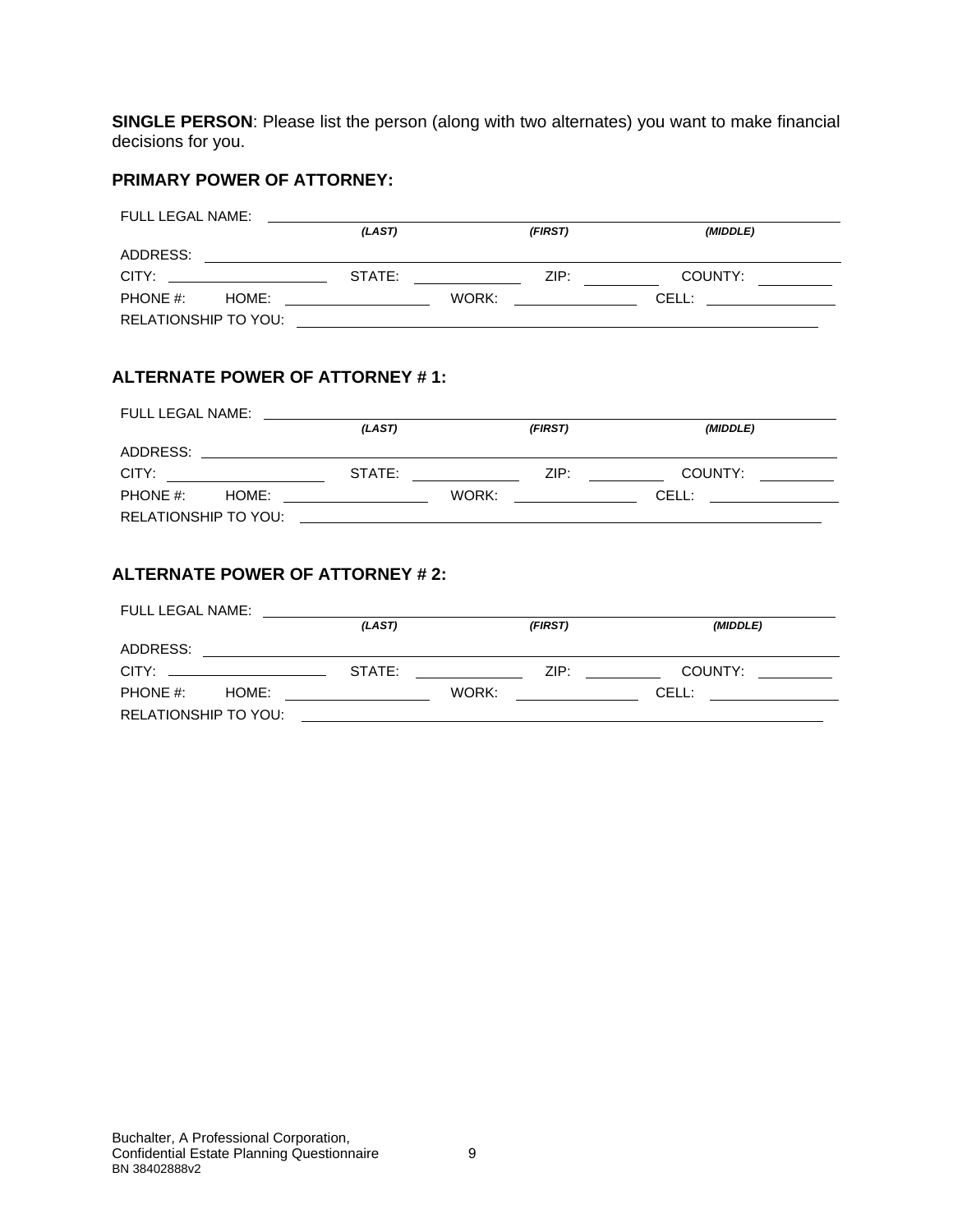**SINGLE PERSON**: Please list the person (along with two alternates) you want to make financial decisions for you.

#### **PRIMARY POWER OF ATTORNEY:**

| FULL LEGAL NAME:                                                                                                                                                                                                               |                                                                                                                                                                                                                                      |         |                                                                                                                                                                                                                                     |  |
|--------------------------------------------------------------------------------------------------------------------------------------------------------------------------------------------------------------------------------|--------------------------------------------------------------------------------------------------------------------------------------------------------------------------------------------------------------------------------------|---------|-------------------------------------------------------------------------------------------------------------------------------------------------------------------------------------------------------------------------------------|--|
|                                                                                                                                                                                                                                | (LAST)                                                                                                                                                                                                                               | (FIRST) | (MIDDLE)                                                                                                                                                                                                                            |  |
| ADDRESS:                                                                                                                                                                                                                       |                                                                                                                                                                                                                                      |         |                                                                                                                                                                                                                                     |  |
| CITY: the contract of the contract of the contract of the contract of the contract of the contract of the contract of the contract of the contract of the contract of the contract of the contract of the contract of the cont | STATE:                                                                                                                                                                                                                               | ZIP:    | COUNTY:                                                                                                                                                                                                                             |  |
| PHONE #:<br>HOME:                                                                                                                                                                                                              | <u>and the state of the state of the state of the state of the state of the state of the state of the state of the state of the state of the state of the state of the state of the state of the state of the state of the state</u> | WORK:   | <b>CELL:</b> The contract of the contract of the contract of the contract of the contract of the contract of the contract of the contract of the contract of the contract of the contract of the contract of the contract of the co |  |
| RELATIONSHIP TO YOU:                                                                                                                                                                                                           |                                                                                                                                                                                                                                      |         |                                                                                                                                                                                                                                     |  |

#### **ALTERNATE POWER OF ATTORNEY # 1:**

| FULL LEGAL NAME:  |        |                                 |                                                                                                                                                                                                                                     |  |
|-------------------|--------|---------------------------------|-------------------------------------------------------------------------------------------------------------------------------------------------------------------------------------------------------------------------------------|--|
|                   | (LAST) | (FIRST)                         | (MIDDLE)                                                                                                                                                                                                                            |  |
|                   |        |                                 |                                                                                                                                                                                                                                     |  |
| CITY:             |        | ZIP:<br>STATE: THE STATE STATE: | COUNTY:                                                                                                                                                                                                                             |  |
| PHONE #:<br>HOME: |        | WORK:                           | <b>CELL:</b> The contract of the contract of the contract of the contract of the contract of the contract of the contract of the contract of the contract of the contract of the contract of the contract of the contract of the co |  |
|                   |        |                                 |                                                                                                                                                                                                                                     |  |

#### **ALTERNATE POWER OF ATTORNEY # 2:**

| FULL LEGAL NAME:                              |        |         |          |                                             |
|-----------------------------------------------|--------|---------|----------|---------------------------------------------|
|                                               | (LAST) | (FIRST) | (MIDDLE) |                                             |
| ADDRESS:                                      |        |         |          |                                             |
| $CITY: \begin{array}{ccc} \hline \end{array}$ | STATE: | ZIP:    | COUNTY:  | <u> 1999 - Alban III, politik politik (</u> |
| PHONE $#$ :<br>HOME:                          |        | WORK:   | CELL:    |                                             |
| RELATIONSHIP TO YOU:                          |        |         |          |                                             |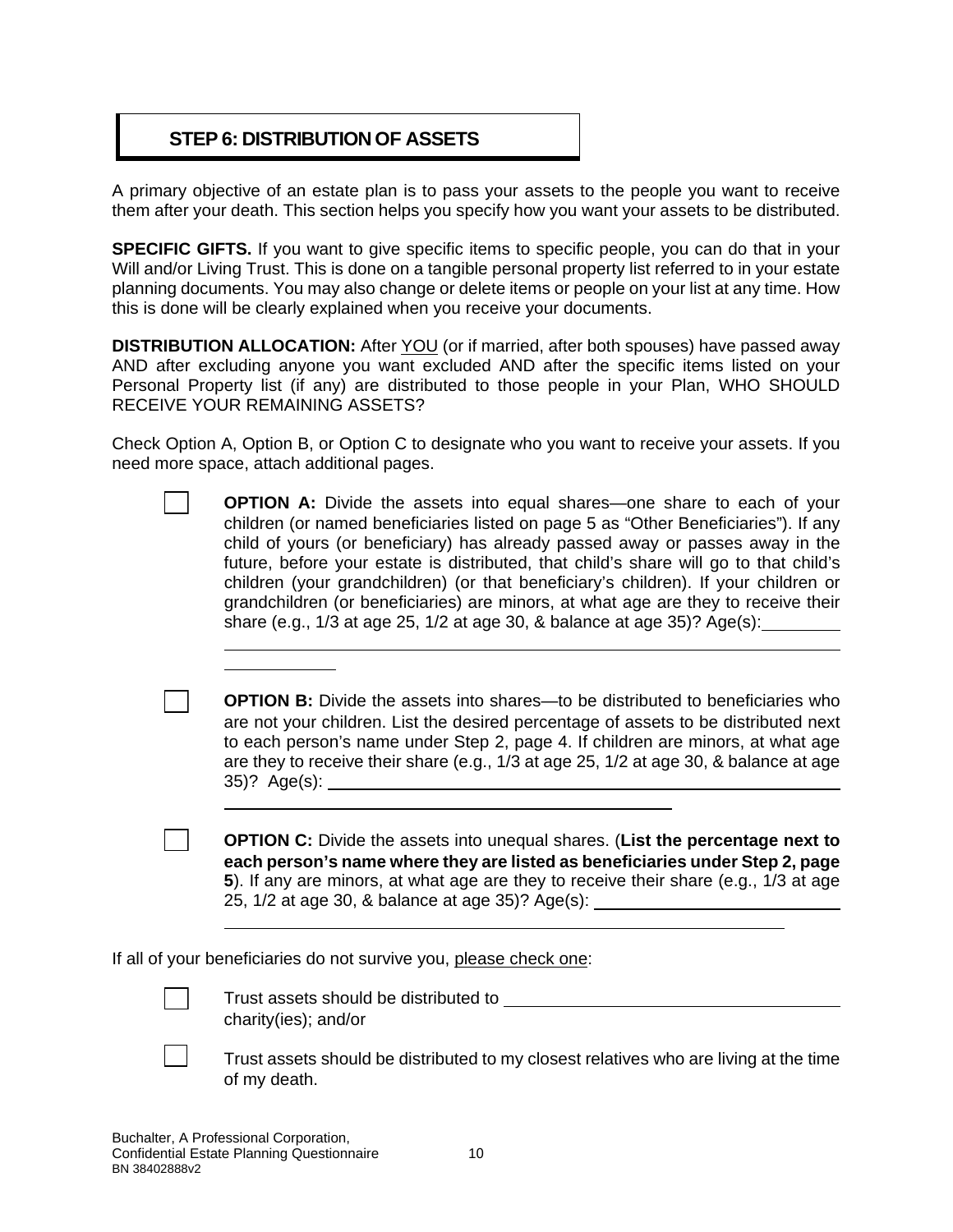# **STEP 6: DISTRIBUTION OF ASSETS**

A primary objective of an estate plan is to pass your assets to the people you want to receive them after your death. This section helps you specify how you want your assets to be distributed.

**SPECIFIC GIFTS.** If you want to give specific items to specific people, you can do that in your Will and/or Living Trust. This is done on a tangible personal property list referred to in your estate planning documents. You may also change or delete items or people on your list at any time. How this is done will be clearly explained when you receive your documents.

**DISTRIBUTION ALLOCATION:** After YOU (or if married, after both spouses) have passed away AND after excluding anyone you want excluded AND after the specific items listed on your Personal Property list (if any) are distributed to those people in your Plan, WHO SHOULD RECEIVE YOUR REMAINING ASSETS?

Check Option A, Option B, or Option C to designate who you want to receive your assets. If you need more space, attach additional pages.

| <b>OPTION A:</b> Divide the assets into equal shares—one share to each of your        |
|---------------------------------------------------------------------------------------|
| children (or named beneficiaries listed on page 5 as "Other Beneficiaries"). If any   |
| child of yours (or beneficiary) has already passed away or passes away in the         |
| future, before your estate is distributed, that child's share will go to that child's |
| children (your grandchildren) (or that beneficiary's children). If your children or   |
| grandchildren (or beneficiaries) are minors, at what age are they to receive their    |
| share (e.g., 1/3 at age 25, 1/2 at age 30, & balance at age 35)? Age(s):              |
|                                                                                       |
|                                                                                       |

**OPTION B:** Divide the assets into shares—to be distributed to beneficiaries who are not your children. List the desired percentage of assets to be distributed next to each person's name under Step 2, page 4. If children are minors, at what age are they to receive their share (e.g., 1/3 at age 25, 1/2 at age 30, & balance at age 35)? Age(s):

☐ **OPTION C:** Divide the assets into unequal shares. (**List the percentage next to each person's name where they are listed as beneficiaries under Step 2, page 5**). If any are minors, at what age are they to receive their share (e.g., 1/3 at age 25, 1/2 at age 30, & balance at age 35)? Age(s):

If all of your beneficiaries do not survive you, please check one:

Trust assets should be distributed to \_\_ charity(ies); and/or



☐ Trust assets should be distributed to my closest relatives who are living at the time of my death.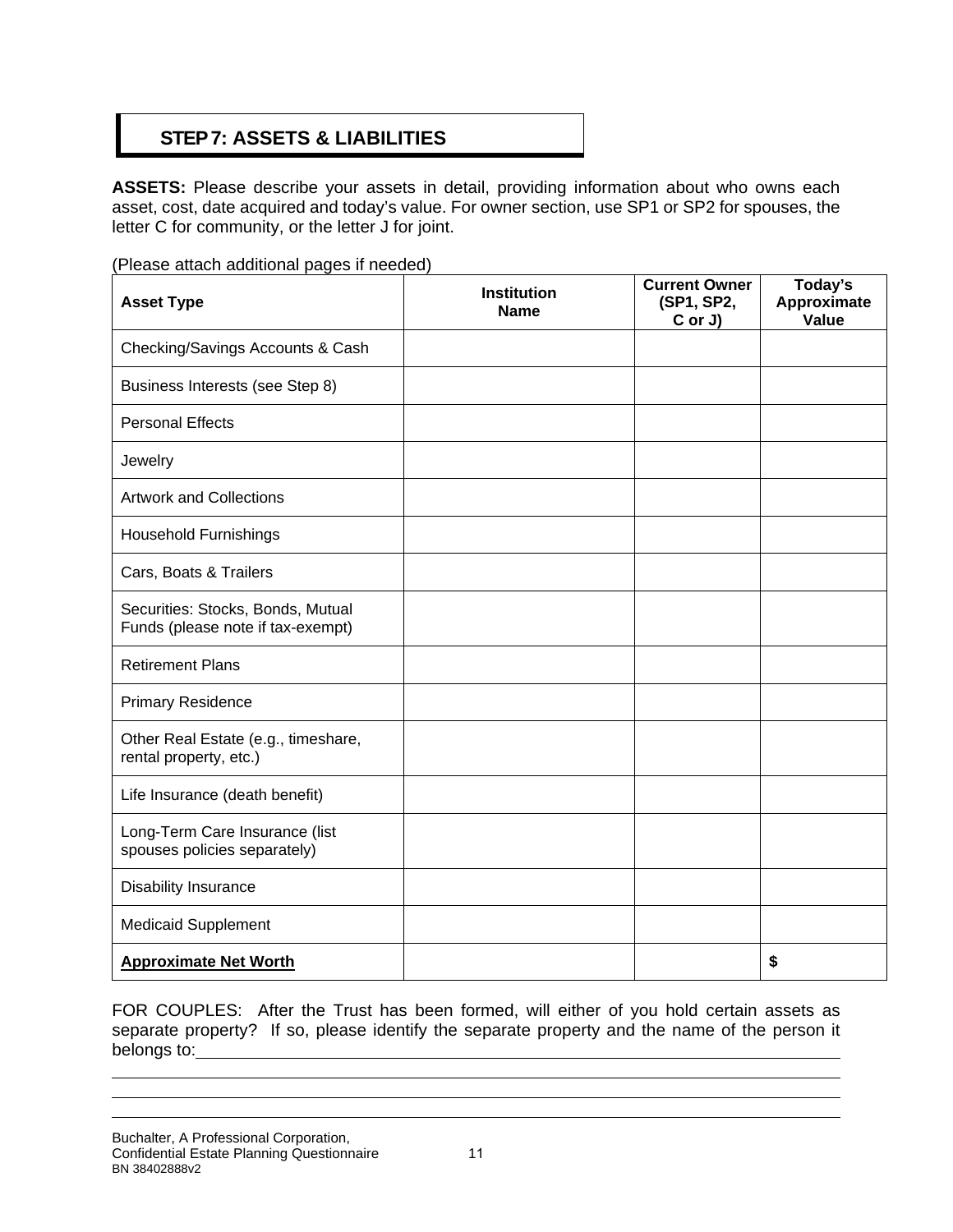# **STEP7: ASSETS & LIABILITIES**

**ASSETS:** Please describe your assets in detail, providing information about who owns each asset, cost, date acquired and today's value. For owner section, use SP1 or SP2 for spouses, the letter C for community, or the letter J for joint.

(Please attach additional pages if needed)

| <b>Asset Type</b>                                                      | <b>Institution</b><br><b>Name</b> | <b>Current Owner</b><br>(SP1, SP2,<br>C or J) | Today's<br>Approximate<br>Value |
|------------------------------------------------------------------------|-----------------------------------|-----------------------------------------------|---------------------------------|
| Checking/Savings Accounts & Cash                                       |                                   |                                               |                                 |
| Business Interests (see Step 8)                                        |                                   |                                               |                                 |
| <b>Personal Effects</b>                                                |                                   |                                               |                                 |
| Jewelry                                                                |                                   |                                               |                                 |
| <b>Artwork and Collections</b>                                         |                                   |                                               |                                 |
| <b>Household Furnishings</b>                                           |                                   |                                               |                                 |
| Cars, Boats & Trailers                                                 |                                   |                                               |                                 |
| Securities: Stocks, Bonds, Mutual<br>Funds (please note if tax-exempt) |                                   |                                               |                                 |
| <b>Retirement Plans</b>                                                |                                   |                                               |                                 |
| <b>Primary Residence</b>                                               |                                   |                                               |                                 |
| Other Real Estate (e.g., timeshare,<br>rental property, etc.)          |                                   |                                               |                                 |
| Life Insurance (death benefit)                                         |                                   |                                               |                                 |
| Long-Term Care Insurance (list<br>spouses policies separately)         |                                   |                                               |                                 |
| Disability Insurance                                                   |                                   |                                               |                                 |
| <b>Medicaid Supplement</b>                                             |                                   |                                               |                                 |
| <b>Approximate Net Worth</b>                                           |                                   |                                               | \$                              |

FOR COUPLES: After the Trust has been formed, will either of you hold certain assets as separate property? If so, please identify the separate property and the name of the person it belongs to: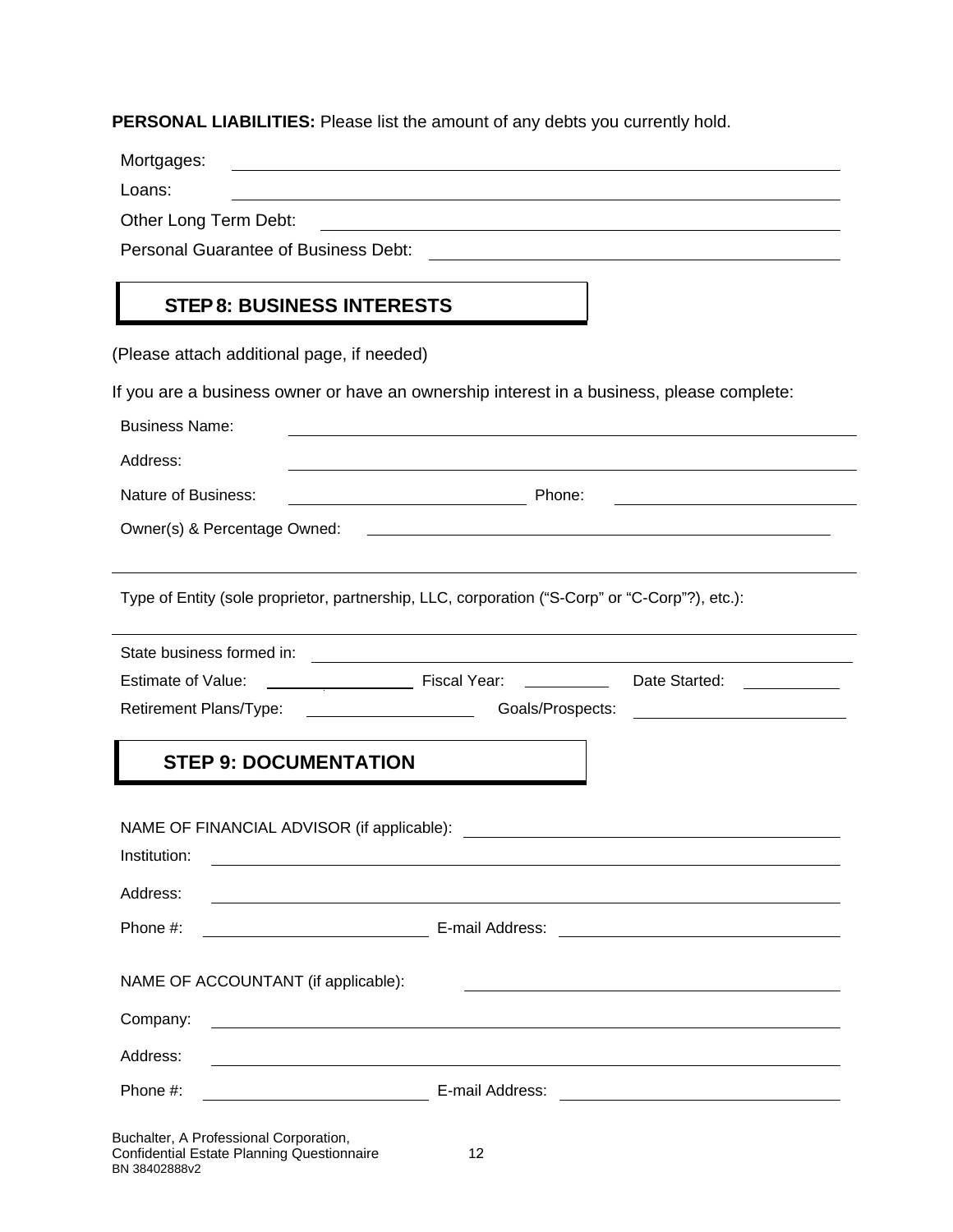**PERSONAL LIABILITIES:** Please list the amount of any debts you currently hold.

Mortgages:

Loans:

Other Long Term Debt:

Personal Guarantee of Business Debt: \\ \\connection \\connection \\connection \\connection \\connection \\conn

## **STEP 8: BUSINESS INTERESTS**

(Please attach additional page, if needed)

If you are a business owner or have an ownership interest in a business, please complete:

| <b>Business Name:</b>                                                                          |                                                                                                                       |                                                                                                                  |
|------------------------------------------------------------------------------------------------|-----------------------------------------------------------------------------------------------------------------------|------------------------------------------------------------------------------------------------------------------|
| Address:                                                                                       |                                                                                                                       |                                                                                                                  |
| <b>Nature of Business:</b>                                                                     | <b>Example 20</b> Phone:                                                                                              |                                                                                                                  |
| Owner(s) & Percentage Owned:                                                                   |                                                                                                                       |                                                                                                                  |
| Type of Entity (sole proprietor, partnership, LLC, corporation ("S-Corp" or "C-Corp"?), etc.): |                                                                                                                       |                                                                                                                  |
| State business formed in:                                                                      | <u> 1989 - Johann Barbara, martin amerikan basal dan berasal dan berasal dalam basal dalam basal dalam basal dala</u> |                                                                                                                  |
| <b>Estimate of Value:</b>                                                                      | Date Started:                                                                                                         |                                                                                                                  |
|                                                                                                |                                                                                                                       |                                                                                                                  |
|                                                                                                |                                                                                                                       | Goals/Prospects:                                                                                                 |
| <b>STEP 9: DOCUMENTATION</b><br>Institution:                                                   |                                                                                                                       |                                                                                                                  |
| Address:                                                                                       |                                                                                                                       | and the control of the control of the control of the control of the control of the control of the control of the |
| Phone #:                                                                                       |                                                                                                                       |                                                                                                                  |
| NAME OF ACCOUNTANT (if applicable):                                                            |                                                                                                                       |                                                                                                                  |
| Company:                                                                                       |                                                                                                                       |                                                                                                                  |
| Address:                                                                                       |                                                                                                                       |                                                                                                                  |